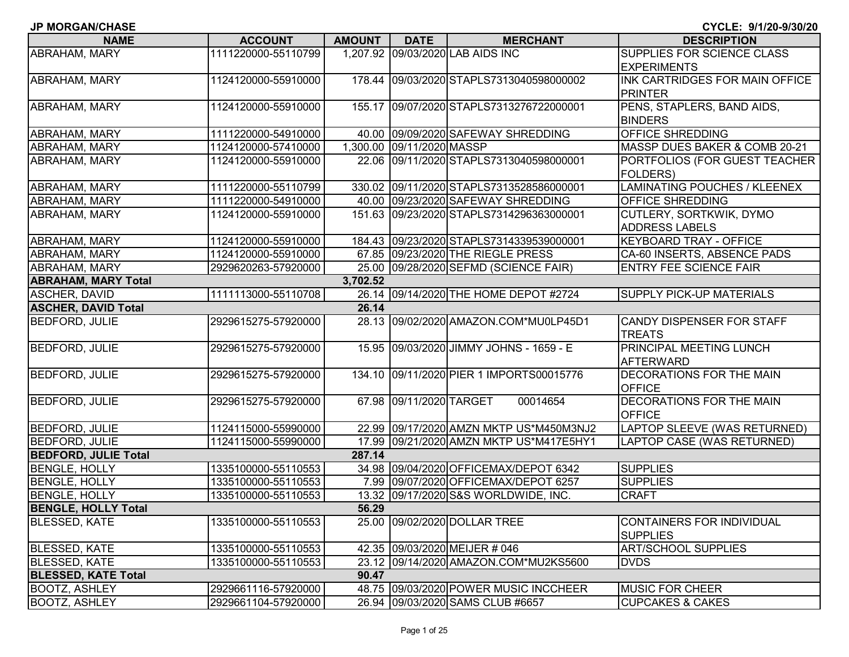| <b>NAME</b>                 | <b>ACCOUNT</b>      | AMOUNT   | <b>DATE</b>               | <b>MERCHANT</b>                          | <b>DESCRIPTION</b>                           |
|-----------------------------|---------------------|----------|---------------------------|------------------------------------------|----------------------------------------------|
| ABRAHAM, MARY               | 1111220000-55110799 |          |                           | 1,207.92 09/03/2020 LAB AIDS INC         | <b>SUPPLIES FOR SCIENCE CLASS</b>            |
|                             |                     |          |                           |                                          | <b>EXPERIMENTS</b>                           |
| ABRAHAM, MARY               | 1124120000-55910000 |          |                           | 178.44 09/03/2020 STAPLS7313040598000002 | INK CARTRIDGES FOR MAIN OFFICE               |
|                             |                     |          |                           |                                          | <b>PRINTER</b>                               |
| ABRAHAM, MARY               | 1124120000-55910000 |          |                           | 155.17 09/07/2020 STAPLS7313276722000001 | PENS, STAPLERS, BAND AIDS,                   |
|                             |                     |          |                           |                                          | <b>BINDERS</b>                               |
| ABRAHAM, MARY               | 1111220000-54910000 |          |                           | 40.00 09/09/2020 SAFEWAY SHREDDING       | <b>OFFICE SHREDDING</b>                      |
| ABRAHAM, MARY               | 1124120000-57410000 |          | 1,300.00 09/11/2020 MASSP |                                          | MASSP DUES BAKER & COMB 20-21                |
| ABRAHAM, MARY               | 1124120000-55910000 |          |                           | 22.06 09/11/2020 STAPLS7313040598000001  | PORTFOLIOS (FOR GUEST TEACHER                |
|                             |                     |          |                           |                                          | <b>FOLDERS</b> )                             |
| <b>ABRAHAM, MARY</b>        | 1111220000-55110799 |          |                           | 330.02 09/11/2020 STAPLS7313528586000001 | LAMINATING POUCHES / KLEENEX                 |
| ABRAHAM, MARY               | 1111220000-54910000 |          |                           | 40.00 09/23/2020 SAFEWAY SHREDDING       | <b>OFFICE SHREDDING</b>                      |
| ABRAHAM, MARY               | 1124120000-55910000 |          |                           | 151.63 09/23/2020 STAPLS7314296363000001 | <b>CUTLERY, SORTKWIK, DYMO</b>               |
|                             |                     |          |                           |                                          | <b>ADDRESS LABELS</b>                        |
| ABRAHAM, MARY               | 1124120000-55910000 |          |                           | 184.43 09/23/2020 STAPLS7314339539000001 | <b>KEYBOARD TRAY - OFFICE</b>                |
| <b>ABRAHAM, MARY</b>        | 1124120000-55910000 |          |                           | 67.85 09/23/2020 THE RIEGLE PRESS        | CA-60 INSERTS, ABSENCE PADS                  |
| <b>ABRAHAM, MARY</b>        | 2929620263-57920000 |          |                           | 25.00 09/28/2020 SEFMD (SCIENCE FAIR)    | <b>ENTRY FEE SCIENCE FAIR</b>                |
| <b>ABRAHAM, MARY Total</b>  |                     | 3,702.52 |                           |                                          |                                              |
| <b>ASCHER, DAVID</b>        | 1111113000-55110708 |          |                           | 26.14 09/14/2020 THE HOME DEPOT #2724    | <b>SUPPLY PICK-UP MATERIALS</b>              |
| <b>ASCHER, DAVID Total</b>  |                     | 26.14    |                           |                                          |                                              |
| <b>BEDFORD, JULIE</b>       | 2929615275-57920000 |          |                           | 28.13 09/02/2020 AMAZON.COM*MU0LP45D1    | <b>CANDY DISPENSER FOR STAFF</b>             |
|                             |                     |          |                           |                                          | <b>TREATS</b>                                |
| <b>BEDFORD, JULIE</b>       | 2929615275-57920000 |          |                           | 15.95 09/03/2020 JIMMY JOHNS - 1659 - E  | <b>PRINCIPAL MEETING LUNCH</b>               |
|                             |                     |          |                           |                                          | AFTERWARD                                    |
| <b>BEDFORD, JULIE</b>       | 2929615275-57920000 |          |                           | 134.10 09/11/2020 PIER 1 IMPORTS00015776 | <b>DECORATIONS FOR THE MAIN</b>              |
|                             |                     |          |                           |                                          | <b>OFFICE</b>                                |
| <b>BEDFORD, JULIE</b>       | 2929615275-57920000 |          | 67.98 09/11/2020 TARGET   | 00014654                                 | <b>DECORATIONS FOR THE MAIN</b>              |
|                             |                     |          |                           |                                          | <b>OFFICE</b>                                |
| <b>BEDFORD, JULIE</b>       | 1124115000-55990000 |          |                           | 22.99 09/17/2020 AMZN MKTP US*M450M3NJ2  | LAPTOP SLEEVE (WAS RETURNED)                 |
| <b>BEDFORD, JULIE</b>       | 1124115000-55990000 |          |                           | 17.99 09/21/2020 AMZN MKTP US*M417E5HY1  | LAPTOP CASE (WAS RETURNED)                   |
| <b>BEDFORD, JULIE Total</b> |                     | 287.14   |                           |                                          |                                              |
| <b>BENGLE, HOLLY</b>        | 1335100000-55110553 |          |                           | 34.98 09/04/2020 OFFICEMAX/DEPOT 6342    | <b>SUPPLIES</b>                              |
| <b>BENGLE, HOLLY</b>        | 1335100000-55110553 |          |                           | 7.99 09/07/2020 OFFICEMAX/DEPOT 6257     | <b>SUPPLIES</b>                              |
| <b>BENGLE, HOLLY</b>        | 1335100000-55110553 |          |                           | 13.32 09/17/2020 S&S WORLDWIDE, INC.     | <b>CRAFT</b>                                 |
| <b>BENGLE, HOLLY Total</b>  |                     | 56.29    |                           |                                          |                                              |
| <b>BLESSED, KATE</b>        | 1335100000-55110553 |          |                           | 25.00 09/02/2020 DOLLAR TREE             | CONTAINERS FOR INDIVIDUAL<br><b>SUPPLIES</b> |
| <b>BLESSED, KATE</b>        | 1335100000-55110553 |          |                           | 42.35 09/03/2020 MEIJER # 046            | <b>ART/SCHOOL SUPPLIES</b>                   |
| <b>BLESSED, KATE</b>        | 1335100000-55110553 |          |                           | 23.12 09/14/2020 AMAZON.COM*MU2KS5600    | <b>DVDS</b>                                  |
| <b>BLESSED, KATE Total</b>  |                     | 90.47    |                           |                                          |                                              |
| <b>BOOTZ, ASHLEY</b>        | 2929661116-57920000 |          |                           | 48.75 09/03/2020 POWER MUSIC INCCHEER    | <b>MUSIC FOR CHEER</b>                       |
| <b>BOOTZ, ASHLEY</b>        | 2929661104-57920000 |          |                           | 26.94 09/03/2020 SAMS CLUB #6657         | <b>CUPCAKES &amp; CAKES</b>                  |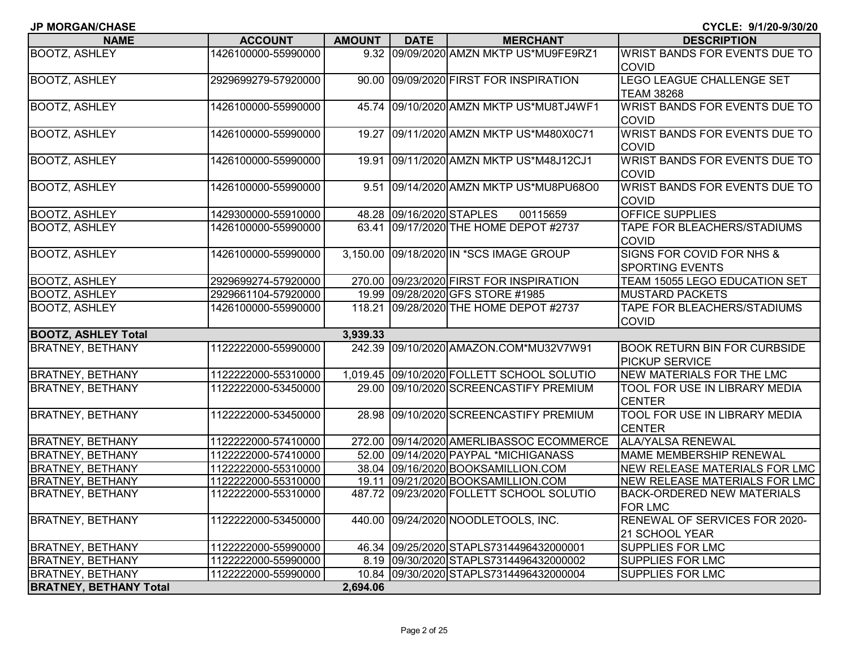| <b>NAME</b>                   | <b>ACCOUNT</b>      | <b>AMOUNT</b> | <b>DATE</b>              | <b>MERCHANT</b>                            | <b>DESCRIPTION</b>                   |
|-------------------------------|---------------------|---------------|--------------------------|--------------------------------------------|--------------------------------------|
| <b>BOOTZ, ASHLEY</b>          | 1426100000-55990000 |               |                          | 9.32 09/09/2020 AMZN MKTP US*MU9FE9RZ1     | WRIST BANDS FOR EVENTS DUE TO        |
|                               |                     |               |                          |                                            | <b>COVID</b>                         |
| <b>BOOTZ, ASHLEY</b>          | 2929699279-57920000 | 90.00         |                          | 09/09/2020 FIRST FOR INSPIRATION           | <b>LEGO LEAGUE CHALLENGE SET</b>     |
|                               |                     |               |                          |                                            | <b>TEAM 38268</b>                    |
| <b>BOOTZ, ASHLEY</b>          | 1426100000-55990000 |               |                          | 45.74 09/10/2020 AMZN MKTP US*MU8TJ4WF1    | WRIST BANDS FOR EVENTS DUE TO        |
|                               |                     |               |                          |                                            | <b>COVID</b>                         |
| <b>BOOTZ, ASHLEY</b>          | 1426100000-55990000 | 19.27         |                          | 09/11/2020 AMZN MKTP US*M480X0C71          | <b>WRIST BANDS FOR EVENTS DUE TO</b> |
|                               |                     |               |                          |                                            | <b>COVID</b>                         |
| <b>BOOTZ, ASHLEY</b>          | 1426100000-55990000 | 19.91         |                          | 09/11/2020 AMZN MKTP US*M48J12CJ1          | WRIST BANDS FOR EVENTS DUE TO        |
|                               |                     |               |                          |                                            | <b>COVID</b>                         |
| <b>BOOTZ, ASHLEY</b>          | 1426100000-55990000 |               |                          | 9.51 09/14/2020 AMZN MKTP US*MU8PU68O0     | WRIST BANDS FOR EVENTS DUE TO        |
|                               |                     |               |                          |                                            | <b>COVID</b>                         |
| <b>BOOTZ, ASHLEY</b>          | 1429300000-55910000 |               | 48.28 09/16/2020 STAPLES | 00115659                                   | OFFICE SUPPLIES                      |
| <b>BOOTZ, ASHLEY</b>          | 1426100000-55990000 | 63.41         |                          | 09/17/2020 THE HOME DEPOT #2737            | <b>TAPE FOR BLEACHERS/STADIUMS</b>   |
|                               |                     |               |                          |                                            | <b>COVID</b>                         |
| <b>BOOTZ, ASHLEY</b>          | 1426100000-55990000 |               |                          | 3,150.00 09/18/2020 IN *SCS IMAGE GROUP    | SIGNS FOR COVID FOR NHS &            |
|                               |                     |               |                          |                                            | <b>SPORTING EVENTS</b>               |
| <b>BOOTZ, ASHLEY</b>          | 2929699274-57920000 |               |                          | 270.00 09/23/2020 FIRST FOR INSPIRATION    | TEAM 15055 LEGO EDUCATION SET        |
| <b>BOOTZ, ASHLEY</b>          | 2929661104-57920000 |               |                          | 19.99 09/28/2020 GFS STORE #1985           | <b>MUSTARD PACKETS</b>               |
| <b>BOOTZ, ASHLEY</b>          | 1426100000-55990000 |               |                          | 118.21 09/28/2020 THE HOME DEPOT #2737     | TAPE FOR BLEACHERS/STADIUMS          |
|                               |                     |               |                          |                                            | <b>COVID</b>                         |
| <b>BOOTZ, ASHLEY Total</b>    |                     | 3,939.33      |                          |                                            |                                      |
| <b>BRATNEY, BETHANY</b>       | 1122222000-55990000 |               |                          | 242.39 09/10/2020 AMAZON.COM*MU32V7W91     | <b>BOOK RETURN BIN FOR CURBSIDE</b>  |
|                               |                     |               |                          |                                            | <b>PICKUP SERVICE</b>                |
| <b>BRATNEY, BETHANY</b>       | 1122222000-55310000 |               |                          | 1,019.45 09/10/2020 FOLLETT SCHOOL SOLUTIO | NEW MATERIALS FOR THE LMC            |
| <b>BRATNEY, BETHANY</b>       | 1122222000-53450000 |               |                          | 29.00 09/10/2020 SCREENCASTIFY PREMIUM     | TOOL FOR USE IN LIBRARY MEDIA        |
|                               |                     |               |                          |                                            | <b>CENTER</b>                        |
| <b>BRATNEY, BETHANY</b>       | 1122222000-53450000 | 28.98         |                          | 09/10/2020 SCREENCASTIFY PREMIUM           | TOOL FOR USE IN LIBRARY MEDIA        |
|                               |                     |               |                          |                                            | <b>CENTER</b>                        |
| <b>BRATNEY, BETHANY</b>       | 1122222000-57410000 |               |                          | 272.00 09/14/2020 AMERLIBASSOC ECOMMERCE   | <b>ALA/YALSA RENEWAL</b>             |
| <b>BRATNEY, BETHANY</b>       | 1122222000-57410000 |               |                          | 52.00 09/14/2020 PAYPAL *MICHIGANASS       | <b>MAME MEMBERSHIP RENEWAL</b>       |
| <b>BRATNEY, BETHANY</b>       | 1122222000-55310000 |               |                          | 38.04 09/16/2020 BOOKSAMILLION.COM         | NEW RELEASE MATERIALS FOR LMC        |
| <b>BRATNEY, BETHANY</b>       | 1122222000-55310000 |               |                          | 19.11 09/21/2020 BOOKSAMILLION.COM         | <b>NEW RELEASE MATERIALS FOR LMC</b> |
| <b>BRATNEY, BETHANY</b>       | 1122222000-55310000 |               |                          | 487.72 09/23/2020 FOLLETT SCHOOL SOLUTIO   | <b>BACK-ORDERED NEW MATERIALS</b>    |
|                               |                     |               |                          |                                            | <b>FOR LMC</b>                       |
| <b>BRATNEY, BETHANY</b>       | 1122222000-53450000 |               |                          | 440.00 09/24/2020 NOODLETOOLS, INC.        | RENEWAL OF SERVICES FOR 2020-        |
|                               |                     |               |                          |                                            | 21 SCHOOL YEAR                       |
| <b>BRATNEY, BETHANY</b>       | 1122222000-55990000 |               |                          | 46.34 09/25/2020 STAPLS7314496432000001    | <b>SUPPLIES FOR LMC</b>              |
| <b>BRATNEY, BETHANY</b>       | 1122222000-55990000 |               |                          | 8.19 09/30/2020 STAPLS7314496432000002     | <b>SUPPLIES FOR LMC</b>              |
| <b>BRATNEY, BETHANY</b>       | 1122222000-55990000 |               |                          | 10.84 09/30/2020 STAPLS7314496432000004    | <b>SUPPLIES FOR LMC</b>              |
| <b>BRATNEY, BETHANY Total</b> |                     | 2,694.06      |                          |                                            |                                      |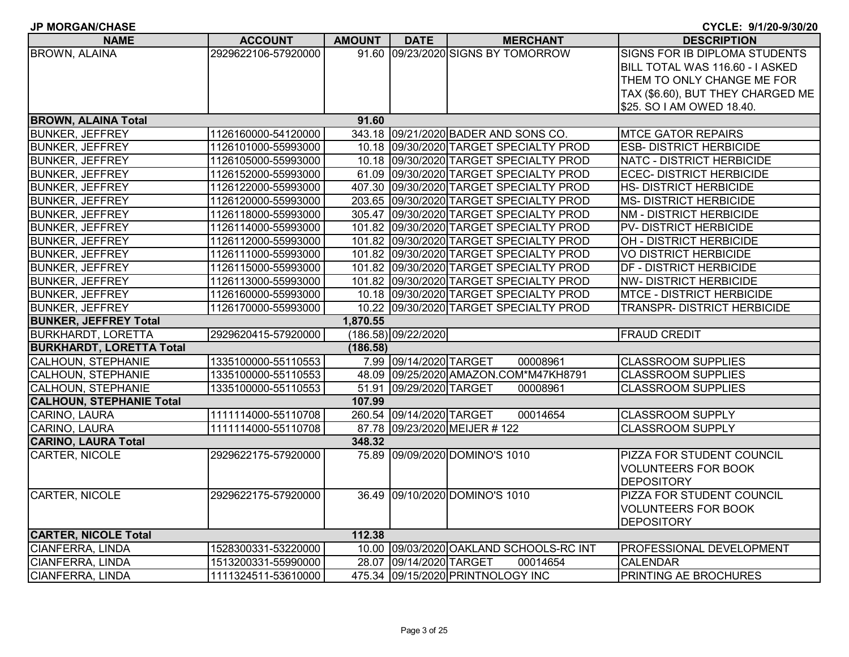| <b>NAME</b>                     | <b>ACCOUNT</b>      | <b>AMOUNT</b> | <b>DATE</b>              | <b>MERCHANT</b>                         | <b>DESCRIPTION</b>                 |
|---------------------------------|---------------------|---------------|--------------------------|-----------------------------------------|------------------------------------|
| <b>BROWN, ALAINA</b>            | 2929622106-57920000 |               |                          | 91.60 09/23/2020 SIGNS BY TOMORROW      | SIGNS FOR IB DIPLOMA STUDENTS      |
|                                 |                     |               |                          |                                         | BILL TOTAL WAS 116.60 - I ASKED    |
|                                 |                     |               |                          |                                         | THEM TO ONLY CHANGE ME FOR         |
|                                 |                     |               |                          |                                         | TAX (\$6.60), BUT THEY CHARGED ME  |
|                                 |                     |               |                          |                                         | \$25. SO I AM OWED 18.40.          |
| <b>BROWN, ALAINA Total</b>      |                     | 91.60         |                          |                                         |                                    |
| <b>BUNKER, JEFFREY</b>          | 1126160000-54120000 |               |                          | 343.18 09/21/2020 BADER AND SONS CO.    | <b>MTCE GATOR REPAIRS</b>          |
| <b>BUNKER, JEFFREY</b>          | 1126101000-55993000 |               |                          | 10.18 09/30/2020 TARGET SPECIALTY PROD  | <b>ESB-DISTRICT HERBICIDE</b>      |
| <b>BUNKER, JEFFREY</b>          | 1126105000-55993000 |               |                          | 10.18 09/30/2020 TARGET SPECIALTY PROD  | NATC - DISTRICT HERBICIDE          |
| <b>BUNKER, JEFFREY</b>          | 1126152000-55993000 |               |                          | 61.09 09/30/2020 TARGET SPECIALTY PROD  | <b>ECEC- DISTRICT HERBICIDE</b>    |
| <b>BUNKER, JEFFREY</b>          | 1126122000-55993000 |               |                          | 407.30 09/30/2020 TARGET SPECIALTY PROD | HS- DISTRICT HERBICIDE             |
| <b>BUNKER, JEFFREY</b>          | 1126120000-55993000 |               |                          | 203.65 09/30/2020 TARGET SPECIALTY PROD | <b>MS- DISTRICT HERBICIDE</b>      |
| <b>BUNKER, JEFFREY</b>          | 1126118000-55993000 |               |                          | 305.47 09/30/2020 TARGET SPECIALTY PROD | <b>NM - DISTRICT HERBICIDE</b>     |
| <b>BUNKER, JEFFREY</b>          | 1126114000-55993000 |               |                          | 101.82 09/30/2020 TARGET SPECIALTY PROD | <b>PV-DISTRICT HERBICIDE</b>       |
| <b>BUNKER, JEFFREY</b>          | 1126112000-55993000 |               |                          | 101.82 09/30/2020 TARGET SPECIALTY PROD | OH - DISTRICT HERBICIDE            |
| <b>BUNKER, JEFFREY</b>          | 1126111000-55993000 |               |                          | 101.82 09/30/2020 TARGET SPECIALTY PROD | <b>VO DISTRICT HERBICIDE</b>       |
| <b>BUNKER, JEFFREY</b>          | 1126115000-55993000 |               |                          | 101.82 09/30/2020 TARGET SPECIALTY PROD | DF - DISTRICT HERBICIDE            |
| <b>BUNKER, JEFFREY</b>          | 1126113000-55993000 |               |                          | 101.82 09/30/2020 TARGET SPECIALTY PROD | <b>NW-DISTRICT HERBICIDE</b>       |
| <b>BUNKER, JEFFREY</b>          | 1126160000-55993000 |               |                          | 10.18 09/30/2020 TARGET SPECIALTY PROD  | <b>MTCE - DISTRICT HERBICIDE</b>   |
| <b>BUNKER, JEFFREY</b>          | 1126170000-55993000 |               |                          | 10.22 09/30/2020 TARGET SPECIALTY PROD  | <b>TRANSPR- DISTRICT HERBICIDE</b> |
| <b>BUNKER, JEFFREY Total</b>    |                     | 1,870.55      |                          |                                         |                                    |
| <b>BURKHARDT, LORETTA</b>       | 2929620415-57920000 |               | (186.58) 09/22/2020      |                                         | <b>FRAUD CREDIT</b>                |
| <b>BURKHARDT, LORETTA Total</b> |                     | (186.58)      |                          |                                         |                                    |
| <b>CALHOUN, STEPHANIE</b>       | 1335100000-55110553 |               | 7.99 09/14/2020 TARGET   | 00008961                                | <b>CLASSROOM SUPPLIES</b>          |
| <b>CALHOUN, STEPHANIE</b>       | 1335100000-55110553 |               |                          | 48.09 09/25/2020 AMAZON.COM*M47KH8791   | <b>CLASSROOM SUPPLIES</b>          |
| <b>CALHOUN, STEPHANIE</b>       | 1335100000-55110553 |               | 51.91 09/29/2020 TARGET  | 00008961                                | <b>CLASSROOM SUPPLIES</b>          |
| <b>CALHOUN, STEPHANIE Total</b> |                     | 107.99        |                          |                                         |                                    |
| CARINO, LAURA                   | 1111114000-55110708 |               | 260.54 09/14/2020 TARGET | 00014654                                | <b>CLASSROOM SUPPLY</b>            |
| CARINO, LAURA                   | 1111114000-55110708 |               |                          | 87.78 09/23/2020 MEIJER #122            | <b>CLASSROOM SUPPLY</b>            |
| <b>CARINO, LAURA Total</b>      |                     | 348.32        |                          |                                         |                                    |
| CARTER, NICOLE                  | 2929622175-57920000 |               |                          | 75.89 09/09/2020 DOMINO'S 1010          | PIZZA FOR STUDENT COUNCIL          |
|                                 |                     |               |                          |                                         | <b>VOLUNTEERS FOR BOOK</b>         |
|                                 |                     |               |                          |                                         | <b>DEPOSITORY</b>                  |
| CARTER, NICOLE                  | 2929622175-57920000 |               |                          | 36.49 09/10/2020 DOMINO'S 1010          | PIZZA FOR STUDENT COUNCIL          |
|                                 |                     |               |                          |                                         | <b>VOLUNTEERS FOR BOOK</b>         |
|                                 |                     |               |                          |                                         | <b>DEPOSITORY</b>                  |
| <b>CARTER, NICOLE Total</b>     |                     | 112.38        |                          |                                         |                                    |
| CIANFERRA, LINDA                | 1528300331-53220000 |               |                          | 10.00 09/03/2020 OAKLAND SCHOOLS-RC INT | PROFESSIONAL DEVELOPMENT           |
| <b>CIANFERRA, LINDA</b>         | 1513200331-55990000 |               | 28.07 09/14/2020 TARGET  | 00014654                                | <b>CALENDAR</b>                    |
| <b>CIANFERRA, LINDA</b>         | 1111324511-53610000 |               |                          | 475.34 09/15/2020 PRINTNOLOGY INC       | PRINTING AE BROCHURES              |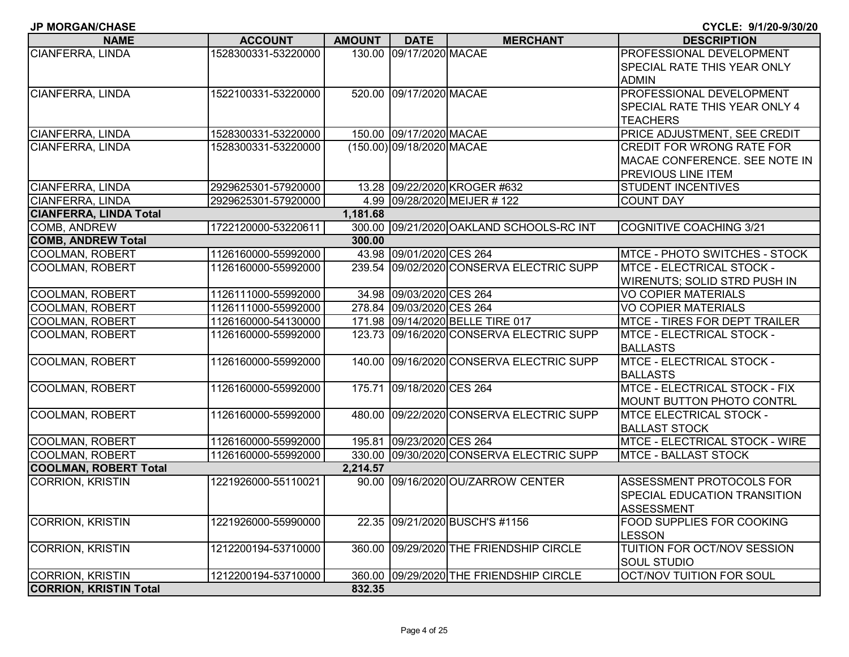| <b>NAME</b>                   | <b>ACCOUNT</b>      | AMOUNT   | <b>DATE</b>               | <b>MERCHANT</b>                          | <b>DESCRIPTION</b>                   |
|-------------------------------|---------------------|----------|---------------------------|------------------------------------------|--------------------------------------|
| CIANFERRA, LINDA              | 1528300331-53220000 |          | 130.00 09/17/2020 MACAE   |                                          | PROFESSIONAL DEVELOPMENT             |
|                               |                     |          |                           |                                          | <b>SPECIAL RATE THIS YEAR ONLY</b>   |
|                               |                     |          |                           |                                          | <b>ADMIN</b>                         |
| CIANFERRA, LINDA              | 1522100331-53220000 |          | 520.00 09/17/2020 MACAE   |                                          | PROFESSIONAL DEVELOPMENT             |
|                               |                     |          |                           |                                          | <b>SPECIAL RATE THIS YEAR ONLY 4</b> |
|                               |                     |          |                           |                                          | <b>TEACHERS</b>                      |
| CIANFERRA, LINDA              | 1528300331-53220000 |          | 150.00 09/17/2020 MACAE   |                                          | PRICE ADJUSTMENT, SEE CREDIT         |
| CIANFERRA, LINDA              | 1528300331-53220000 |          | (150.00) 09/18/2020 MACAE |                                          | <b>CREDIT FOR WRONG RATE FOR</b>     |
|                               |                     |          |                           |                                          | MACAE CONFERENCE. SEE NOTE IN        |
|                               |                     |          |                           |                                          | PREVIOUS LINE ITEM                   |
| CIANFERRA, LINDA              | 2929625301-57920000 |          |                           | 13.28 09/22/2020 KROGER #632             | <b>STUDENT INCENTIVES</b>            |
| <b>CIANFERRA, LINDA</b>       | 2929625301-57920000 |          |                           | 4.99 09/28/2020 MEIJER #122              | <b>COUNT DAY</b>                     |
| <b>CIANFERRA, LINDA Total</b> |                     | 1,181.68 |                           |                                          |                                      |
| <b>COMB, ANDREW</b>           | 1722120000-53220611 |          |                           | 300.00 09/21/2020 OAKLAND SCHOOLS-RC INT | <b>COGNITIVE COACHING 3/21</b>       |
| <b>COMB, ANDREW Total</b>     |                     | 300.00   |                           |                                          |                                      |
| <b>COOLMAN, ROBERT</b>        | 1126160000-55992000 |          | 43.98 09/01/2020 CES 264  |                                          | MTCE - PHOTO SWITCHES - STOCK        |
| COOLMAN, ROBERT               | 1126160000-55992000 |          |                           | 239.54 09/02/2020 CONSERVA ELECTRIC SUPP | MTCE - ELECTRICAL STOCK -            |
|                               |                     |          |                           |                                          | WIRENUTS; SOLID STRD PUSH IN         |
| <b>COOLMAN, ROBERT</b>        | 1126111000-55992000 |          | 34.98 09/03/2020 CES 264  |                                          | <b>VO COPIER MATERIALS</b>           |
| <b>COOLMAN, ROBERT</b>        | 1126111000-55992000 |          | 278.84 09/03/2020 CES 264 |                                          | <b>VO COPIER MATERIALS</b>           |
| <b>COOLMAN, ROBERT</b>        | 1126160000-54130000 |          |                           | 171.98 09/14/2020 BELLE TIRE 017         | <b>MTCE - TIRES FOR DEPT TRAILER</b> |
| COOLMAN, ROBERT               | 1126160000-55992000 |          |                           | 123.73 09/16/2020 CONSERVA ELECTRIC SUPP | MTCE - ELECTRICAL STOCK -            |
|                               |                     |          |                           |                                          | <b>BALLASTS</b>                      |
| <b>COOLMAN, ROBERT</b>        | 1126160000-55992000 |          |                           | 140.00 09/16/2020 CONSERVA ELECTRIC SUPP | <b>MTCE - ELECTRICAL STOCK -</b>     |
|                               |                     |          |                           |                                          | <b>BALLASTS</b>                      |
| <b>COOLMAN, ROBERT</b>        | 1126160000-55992000 |          | 175.71 09/18/2020 CES 264 |                                          | MTCE - ELECTRICAL STOCK - FIX        |
|                               |                     |          |                           |                                          | MOUNT BUTTON PHOTO CONTRL            |
| <b>COOLMAN, ROBERT</b>        | 1126160000-55992000 |          |                           | 480.00 09/22/2020 CONSERVA ELECTRIC SUPP | <b>MTCE ELECTRICAL STOCK -</b>       |
|                               |                     |          |                           |                                          | <b>BALLAST STOCK</b>                 |
| <b>COOLMAN, ROBERT</b>        | 1126160000-55992000 |          | 195.81 09/23/2020 CES 264 |                                          | MTCE - ELECTRICAL STOCK - WIRE       |
| COOLMAN, ROBERT               | 1126160000-55992000 |          |                           | 330.00 09/30/2020 CONSERVA ELECTRIC SUPP | <b>MTCE - BALLAST STOCK</b>          |
| <b>COOLMAN, ROBERT Total</b>  |                     | 2,214.57 |                           |                                          |                                      |
| <b>CORRION, KRISTIN</b>       | 1221926000-55110021 |          |                           | 90.00 09/16/2020 OU/ZARROW CENTER        | ASSESSMENT PROTOCOLS FOR             |
|                               |                     |          |                           |                                          | <b>SPECIAL EDUCATION TRANSITION</b>  |
|                               |                     |          |                           |                                          | <b>ASSESSMENT</b>                    |
| <b>CORRION, KRISTIN</b>       | 1221926000-55990000 |          |                           | 22.35 09/21/2020 BUSCH'S #1156           | <b>FOOD SUPPLIES FOR COOKING</b>     |
|                               |                     |          |                           |                                          | <b>LESSON</b>                        |
| <b>CORRION, KRISTIN</b>       | 1212200194-53710000 |          |                           | 360.00 09/29/2020 THE FRIENDSHIP CIRCLE  | TUITION FOR OCT/NOV SESSION          |
|                               |                     |          |                           |                                          | <b>SOUL STUDIO</b>                   |
| <b>CORRION, KRISTIN</b>       | 1212200194-53710000 |          |                           | 360.00 09/29/2020 THE FRIENDSHIP CIRCLE  | <b>OCT/NOV TUITION FOR SOUL</b>      |
| <b>CORRION, KRISTIN Total</b> |                     | 832.35   |                           |                                          |                                      |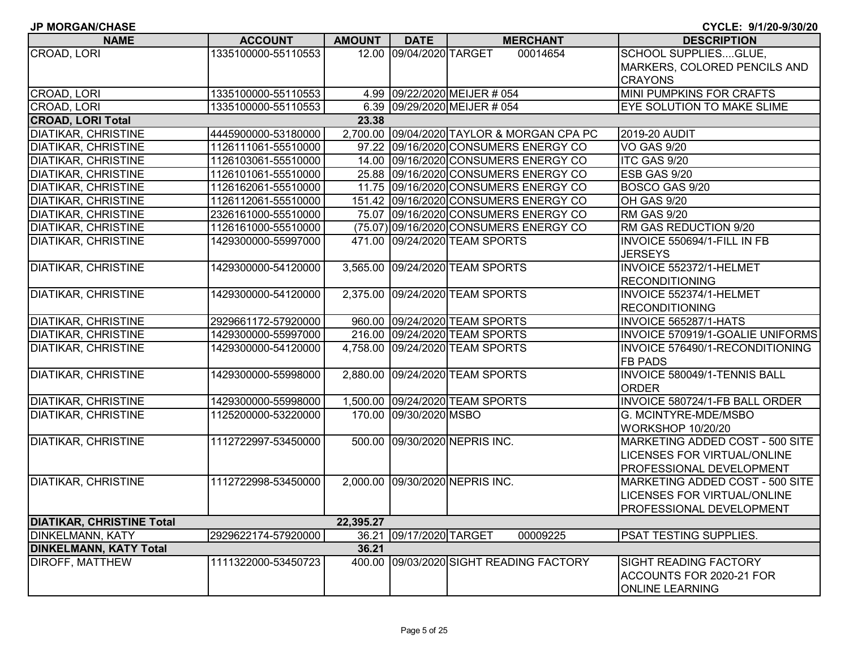|  |  |  | JP MORGAN/CHASE |  |
|--|--|--|-----------------|--|
|--|--|--|-----------------|--|

| <b>NAME</b>                      | <b>ACCOUNT</b>      | <b>AMOUNT</b> | <b>DATE</b>             | <b>MERCHANT</b>                            | <b>DESCRIPTION</b>                  |
|----------------------------------|---------------------|---------------|-------------------------|--------------------------------------------|-------------------------------------|
| <b>CROAD, LORI</b>               | 1335100000-55110553 |               | 12.00 09/04/2020 TARGET | 00014654                                   | <b>SCHOOL SUPPLIESGLUE,</b>         |
|                                  |                     |               |                         |                                            | MARKERS, COLORED PENCILS AND        |
|                                  |                     |               |                         |                                            | <b>CRAYONS</b>                      |
| CROAD, LORI                      | 1335100000-55110553 |               |                         | 4.99 09/22/2020 MEIJER # 054               | MINI PUMPKINS FOR CRAFTS            |
| CROAD, LORI                      | 1335100000-55110553 |               |                         | 6.39 09/29/2020 MEIJER # 054               | EYE SOLUTION TO MAKE SLIME          |
| <b>CROAD, LORI Total</b>         |                     | 23.38         |                         |                                            |                                     |
| <b>DIATIKAR, CHRISTINE</b>       | 4445900000-53180000 |               |                         | 2,700.00 09/04/2020 TAYLOR & MORGAN CPA PC | 2019-20 AUDIT                       |
| DIATIKAR, CHRISTINE              | 1126111061-55510000 |               |                         | 97.22 09/16/2020 CONSUMERS ENERGY CO       | <b>VO GAS 9/20</b>                  |
| <b>DIATIKAR, CHRISTINE</b>       | 1126103061-55510000 |               |                         | 14.00 09/16/2020 CONSUMERS ENERGY CO       | ITC GAS 9/20                        |
| <b>DIATIKAR, CHRISTINE</b>       | 1126101061-55510000 |               |                         | 25.88 09/16/2020 CONSUMERS ENERGY CO       | ESB GAS 9/20                        |
| <b>DIATIKAR, CHRISTINE</b>       | 1126162061-55510000 |               |                         | 11.75 09/16/2020 CONSUMERS ENERGY CO       | BOSCO GAS 9/20                      |
| <b>DIATIKAR, CHRISTINE</b>       | 1126112061-55510000 |               |                         | 151.42 09/16/2020 CONSUMERS ENERGY CO      | <b>OH GAS 9/20</b>                  |
| <b>DIATIKAR, CHRISTINE</b>       | 2326161000-55510000 |               |                         | 75.07 09/16/2020 CONSUMERS ENERGY CO       | <b>RM GAS 9/20</b>                  |
| <b>DIATIKAR, CHRISTINE</b>       | 1126161000-55510000 |               |                         | (75.07) 09/16/2020 CONSUMERS ENERGY CO     | RM GAS REDUCTION 9/20               |
| <b>DIATIKAR, CHRISTINE</b>       | 1429300000-55997000 |               |                         | 471.00 09/24/2020 TEAM SPORTS              | INVOICE 550694/1-FILL IN FB         |
|                                  |                     |               |                         |                                            | <b>JERSEYS</b>                      |
| <b>DIATIKAR, CHRISTINE</b>       | 1429300000-54120000 | 3,565.00      |                         | 09/24/2020 TEAM SPORTS                     | INVOICE 552372/1-HELMET             |
|                                  |                     |               |                         |                                            | <b>RECONDITIONING</b>               |
| <b>DIATIKAR, CHRISTINE</b>       | 1429300000-54120000 |               |                         | 2,375.00 09/24/2020 TEAM SPORTS            | INVOICE 552374/1-HELMET             |
|                                  |                     |               |                         |                                            | <b>RECONDITIONING</b>               |
| <b>DIATIKAR, CHRISTINE</b>       | 2929661172-57920000 |               |                         | 960.00 09/24/2020 TEAM SPORTS              | <b>INVOICE 565287/1-HATS</b>        |
| <b>DIATIKAR, CHRISTINE</b>       | 1429300000-55997000 |               |                         | 216.00 09/24/2020 TEAM SPORTS              | INVOICE 570919/1-GOALIE UNIFORMS    |
| <b>DIATIKAR, CHRISTINE</b>       | 1429300000-54120000 |               |                         | 4,758.00 09/24/2020 TEAM SPORTS            | INVOICE 576490/1-RECONDITIONING     |
|                                  |                     |               |                         |                                            | <b>FB PADS</b>                      |
| <b>DIATIKAR, CHRISTINE</b>       | 1429300000-55998000 |               |                         | 2,880.00 09/24/2020 TEAM SPORTS            | <b>INVOICE 580049/1-TENNIS BALL</b> |
|                                  |                     |               |                         |                                            | <b>ORDER</b>                        |
| <b>DIATIKAR, CHRISTINE</b>       | 1429300000-55998000 |               |                         | 1,500.00 09/24/2020 TEAM SPORTS            | INVOICE 580724/1-FB BALL ORDER      |
| <b>DIATIKAR, CHRISTINE</b>       | 1125200000-53220000 |               | 170.00 09/30/2020 MSBO  |                                            | G. MCINTYRE-MDE/MSBO                |
|                                  |                     |               |                         |                                            | <b>WORKSHOP 10/20/20</b>            |
| <b>DIATIKAR, CHRISTINE</b>       | 1112722997-53450000 |               |                         | 500.00 09/30/2020 NEPRIS INC.              | MARKETING ADDED COST - 500 SITE     |
|                                  |                     |               |                         |                                            | LICENSES FOR VIRTUAL/ONLINE         |
|                                  |                     |               |                         |                                            | PROFESSIONAL DEVELOPMENT            |
| <b>DIATIKAR, CHRISTINE</b>       | 1112722998-53450000 |               |                         | 2,000.00 09/30/2020 NEPRIS INC.            | MARKETING ADDED COST - 500 SITE     |
|                                  |                     |               |                         |                                            | LICENSES FOR VIRTUAL/ONLINE         |
|                                  |                     |               |                         |                                            | PROFESSIONAL DEVELOPMENT            |
| <b>DIATIKAR, CHRISTINE Total</b> |                     | 22,395.27     |                         |                                            |                                     |
| <b>DINKELMANN, KATY</b>          | 2929622174-57920000 |               | 36.21 09/17/2020 TARGET | 00009225                                   | PSAT TESTING SUPPLIES.              |
| <b>DINKELMANN, KATY Total</b>    |                     | 36.21         |                         |                                            |                                     |
| <b>DIROFF, MATTHEW</b>           | 1111322000-53450723 |               |                         | 400.00 09/03/2020 SIGHT READING FACTORY    | <b>SIGHT READING FACTORY</b>        |
|                                  |                     |               |                         |                                            | ACCOUNTS FOR 2020-21 FOR            |
|                                  |                     |               |                         |                                            | <b>ONLINE LEARNING</b>              |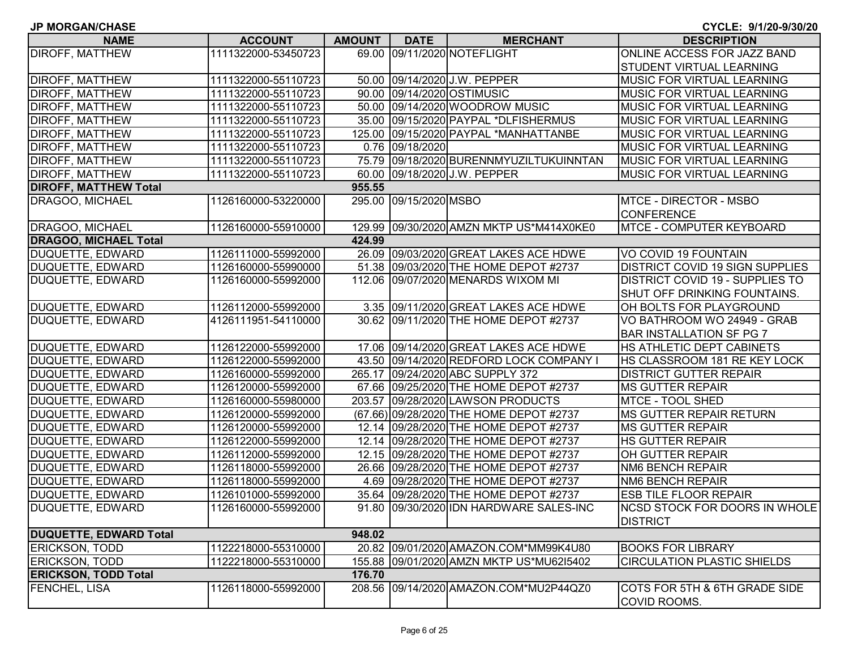|  |  |  |  | <b>JP MORGAN/CHASE</b> |
|--|--|--|--|------------------------|
|--|--|--|--|------------------------|

| <b>NAME</b>                   | <b>ACCOUNT</b>      | <b>AMOUNT</b> | <b>DATE</b>            | <b>MERCHANT</b>                          | <b>DESCRIPTION</b>                     |
|-------------------------------|---------------------|---------------|------------------------|------------------------------------------|----------------------------------------|
| <b>DIROFF, MATTHEW</b>        | 1111322000-53450723 |               |                        | 69.00 09/11/2020 NOTEFLIGHT              | ONLINE ACCESS FOR JAZZ BAND            |
|                               |                     |               |                        |                                          | <b>STUDENT VIRTUAL LEARNING</b>        |
| <b>DIROFF, MATTHEW</b>        | 1111322000-55110723 |               |                        | 50.00 09/14/2020 J.W. PEPPER             | <b>MUSIC FOR VIRTUAL LEARNING</b>      |
| <b>DIROFF, MATTHEW</b>        | 1111322000-55110723 |               |                        | 90.00 09/14/2020 OSTIMUSIC               | <b>MUSIC FOR VIRTUAL LEARNING</b>      |
| <b>DIROFF, MATTHEW</b>        | 1111322000-55110723 |               |                        | 50.00 09/14/2020 WOODROW MUSIC           | <b>MUSIC FOR VIRTUAL LEARNING</b>      |
| <b>DIROFF, MATTHEW</b>        | 1111322000-55110723 |               |                        | 35.00 09/15/2020 PAYPAL *DLFISHERMUS     | <b>MUSIC FOR VIRTUAL LEARNING</b>      |
| <b>DIROFF, MATTHEW</b>        | 1111322000-55110723 |               |                        | 125.00 09/15/2020 PAYPAL *MANHATTANBE    | <b>MUSIC FOR VIRTUAL LEARNING</b>      |
| <b>DIROFF, MATTHEW</b>        | 1111322000-55110723 |               | 0.76 09/18/2020        |                                          | <b>MUSIC FOR VIRTUAL LEARNING</b>      |
| <b>DIROFF, MATTHEW</b>        | 1111322000-55110723 |               |                        | 75.79 09/18/2020 BURENNMYUZILTUKUINNTAN  | <b>MUSIC FOR VIRTUAL LEARNING</b>      |
| <b>DIROFF, MATTHEW</b>        | 1111322000-55110723 |               |                        | 60.00 09/18/2020 J.W. PEPPER             | MUSIC FOR VIRTUAL LEARNING             |
| <b>DIROFF, MATTHEW Total</b>  |                     | 955.55        |                        |                                          |                                        |
| DRAGOO, MICHAEL               | 1126160000-53220000 |               | 295.00 09/15/2020 MSBO |                                          | MTCE - DIRECTOR - MSBO                 |
|                               |                     |               |                        |                                          | <b>CONFERENCE</b>                      |
| DRAGOO, MICHAEL               | 1126160000-55910000 |               |                        | 129.99 09/30/2020 AMZN MKTP US*M414X0KE0 | <b>MTCE - COMPUTER KEYBOARD</b>        |
| <b>DRAGOO, MICHAEL Total</b>  |                     | 424.99        |                        |                                          |                                        |
| DUQUETTE, EDWARD              | 1126111000-55992000 |               |                        | 26.09 09/03/2020 GREAT LAKES ACE HDWE    | VO COVID 19 FOUNTAIN                   |
| DUQUETTE, EDWARD              | 1126160000-55990000 |               |                        | 51.38 09/03/2020 THE HOME DEPOT #2737    | <b>DISTRICT COVID 19 SIGN SUPPLIES</b> |
| DUQUETTE, EDWARD              | 1126160000-55992000 |               |                        | 112.06 09/07/2020 MENARDS WIXOM MI       | <b>DISTRICT COVID 19 - SUPPLIES TO</b> |
|                               |                     |               |                        |                                          | SHUT OFF DRINKING FOUNTAINS.           |
| DUQUETTE, EDWARD              | 1126112000-55992000 |               |                        | 3.35 09/11/2020 GREAT LAKES ACE HDWE     | OH BOLTS FOR PLAYGROUND                |
| DUQUETTE, EDWARD              | 4126111951-54110000 |               |                        | 30.62 09/11/2020 THE HOME DEPOT #2737    | VO BATHROOM WO 24949 - GRAB            |
|                               |                     |               |                        |                                          | <b>BAR INSTALLATION SF PG 7</b>        |
| DUQUETTE, EDWARD              | 1126122000-55992000 |               |                        | 17.06 09/14/2020 GREAT LAKES ACE HDWE    | <b>HS ATHLETIC DEPT CABINETS</b>       |
| DUQUETTE, EDWARD              | 1126122000-55992000 |               |                        | 43.50 09/14/2020 REDFORD LOCK COMPANY I  | HS CLASSROOM 181 RE KEY LOCK           |
| DUQUETTE, EDWARD              | 1126160000-55992000 |               |                        | 265.17 09/24/2020 ABC SUPPLY 372         | <b>DISTRICT GUTTER REPAIR</b>          |
| DUQUETTE, EDWARD              | 1126120000-55992000 |               |                        | 67.66 09/25/2020 THE HOME DEPOT #2737    | <b>MS GUTTER REPAIR</b>                |
| DUQUETTE, EDWARD              | 1126160000-55980000 |               |                        | 203.57 09/28/2020 LAWSON PRODUCTS        | <b>MTCE - TOOL SHED</b>                |
| DUQUETTE, EDWARD              | 1126120000-55992000 |               |                        | (67.66) 09/28/2020 THE HOME DEPOT #2737  | <b>IMS GUTTER REPAIR RETURN</b>        |
| DUQUETTE, EDWARD              | 1126120000-55992000 |               |                        | 12.14 09/28/2020 THE HOME DEPOT #2737    | <b>MS GUTTER REPAIR</b>                |
| DUQUETTE, EDWARD              | 1126122000-55992000 |               |                        | 12.14 09/28/2020 THE HOME DEPOT #2737    | <b>HS GUTTER REPAIR</b>                |
| DUQUETTE, EDWARD              | 1126112000-55992000 |               |                        | 12.15 09/28/2020 THE HOME DEPOT #2737    | OH GUTTER REPAIR                       |
| DUQUETTE, EDWARD              | 1126118000-55992000 |               |                        | 26.66 09/28/2020 THE HOME DEPOT #2737    | <b>NM6 BENCH REPAIR</b>                |
| DUQUETTE, EDWARD              | 1126118000-55992000 |               |                        | 4.69 09/28/2020 THE HOME DEPOT #2737     | <b>NM6 BENCH REPAIR</b>                |
| DUQUETTE, EDWARD              | 1126101000-55992000 |               |                        | 35.64 09/28/2020 THE HOME DEPOT #2737    | <b>ESB TILE FLOOR REPAIR</b>           |
| DUQUETTE, EDWARD              | 1126160000-55992000 |               |                        | 91.80 09/30/2020 IDN HARDWARE SALES-INC  | NCSD STOCK FOR DOORS IN WHOLE          |
|                               |                     |               |                        |                                          | <b>DISTRICT</b>                        |
| <b>DUQUETTE, EDWARD Total</b> |                     | 948.02        |                        |                                          |                                        |
| <b>ERICKSON, TODD</b>         | 1122218000-55310000 |               |                        | 20.82 09/01/2020 AMAZON.COM*MM99K4U80    | <b>BOOKS FOR LIBRARY</b>               |
| <b>ERICKSON, TODD</b>         | 1122218000-55310000 |               |                        | 155.88 09/01/2020 AMZN MKTP US*MU62I5402 | <b>CIRCULATION PLASTIC SHIELDS</b>     |
| <b>ERICKSON, TODD Total</b>   |                     | 176.70        |                        |                                          |                                        |
| <b>FENCHEL, LISA</b>          | 1126118000-55992000 |               |                        | 208.56 09/14/2020 AMAZON.COM*MU2P44QZ0   | COTS FOR 5TH & 6TH GRADE SIDE          |
|                               |                     |               |                        |                                          | COVID ROOMS.                           |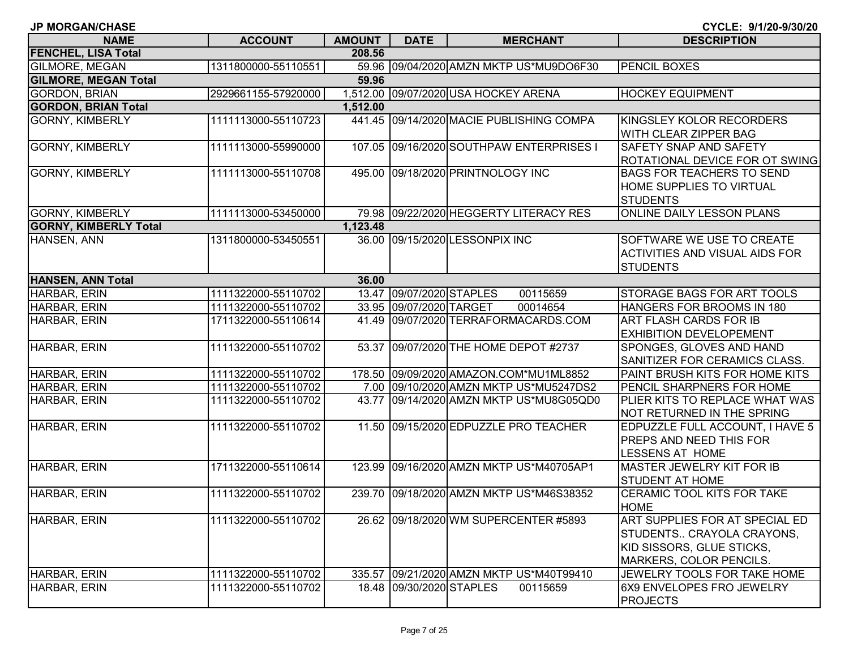| <b>JP MORGAN/CHASE</b>       |                     |               |                          |                                          | CYCLE: 9/1/20-9/30/20                                                                                                      |
|------------------------------|---------------------|---------------|--------------------------|------------------------------------------|----------------------------------------------------------------------------------------------------------------------------|
| <b>NAME</b>                  | <b>ACCOUNT</b>      | <b>AMOUNT</b> | <b>DATE</b>              | <b>MERCHANT</b>                          | <b>DESCRIPTION</b>                                                                                                         |
| <b>FENCHEL, LISA Total</b>   |                     | 208.56        |                          |                                          |                                                                                                                            |
| <b>GILMORE, MEGAN</b>        | 1311800000-55110551 |               |                          | 59.96 09/04/2020 AMZN MKTP US*MU9DO6F30  | <b>PENCIL BOXES</b>                                                                                                        |
| <b>GILMORE, MEGAN Total</b>  |                     | 59.96         |                          |                                          |                                                                                                                            |
| <b>GORDON, BRIAN</b>         | 2929661155-57920000 |               |                          | 1,512.00 09/07/2020 USA HOCKEY ARENA     | <b>HOCKEY EQUIPMENT</b>                                                                                                    |
| <b>GORDON, BRIAN Total</b>   |                     | 1,512.00      |                          |                                          |                                                                                                                            |
| <b>GORNY, KIMBERLY</b>       | 1111113000-55110723 |               |                          | 441.45 09/14/2020 MACIE PUBLISHING COMPA | KINGSLEY KOLOR RECORDERS<br>WITH CLEAR ZIPPER BAG                                                                          |
| <b>GORNY, KIMBERLY</b>       | 1111113000-55990000 |               |                          | 107.05 09/16/2020 SOUTHPAW ENTERPRISES I | <b>SAFETY SNAP AND SAFETY</b><br>ROTATIONAL DEVICE FOR OT SWING                                                            |
| <b>GORNY, KIMBERLY</b>       | 1111113000-55110708 |               |                          | 495.00 09/18/2020 PRINTNOLOGY INC        | <b>BAGS FOR TEACHERS TO SEND</b><br>HOME SUPPLIES TO VIRTUAL<br><b>STUDENTS</b>                                            |
| <b>GORNY, KIMBERLY</b>       | 1111113000-53450000 |               |                          | 79.98 09/22/2020 HEGGERTY LITERACY RES   | ONLINE DAILY LESSON PLANS                                                                                                  |
| <b>GORNY, KIMBERLY Total</b> |                     | 1,123.48      |                          |                                          |                                                                                                                            |
| HANSEN, ANN                  | 1311800000-53450551 |               |                          | 36.00 09/15/2020 LESSONPIX INC           | SOFTWARE WE USE TO CREATE<br><b>ACTIVITIES AND VISUAL AIDS FOR</b><br><b>STUDENTS</b>                                      |
| <b>HANSEN, ANN Total</b>     |                     | 36.00         |                          |                                          |                                                                                                                            |
| HARBAR, ERIN                 | 1111322000-55110702 |               | 13.47 09/07/2020 STAPLES | 00115659                                 | STORAGE BAGS FOR ART TOOLS                                                                                                 |
| HARBAR, ERIN                 | 1111322000-55110702 |               | 33.95 09/07/2020 TARGET  | 00014654                                 | HANGERS FOR BROOMS IN 180                                                                                                  |
| HARBAR, ERIN                 | 1711322000-55110614 | 41.49         |                          | 09/07/2020 TERRAFORMACARDS.COM           | <b>ART FLASH CARDS FOR IB</b><br><b>EXHIBITION DEVELOPEMENT</b>                                                            |
| HARBAR, ERIN                 | 1111322000-55110702 | 53.37         |                          | 09/07/2020 THE HOME DEPOT #2737          | SPONGES, GLOVES AND HAND<br>SANITIZER FOR CERAMICS CLASS.                                                                  |
| HARBAR, ERIN                 | 1111322000-55110702 |               |                          | 178.50 09/09/2020 AMAZON.COM*MU1ML8852   | PAINT BRUSH KITS FOR HOME KITS                                                                                             |
| HARBAR, ERIN                 | 1111322000-55110702 |               |                          | 7.00 09/10/2020 AMZN MKTP US*MU5247DS2   | PENCIL SHARPNERS FOR HOME                                                                                                  |
| HARBAR, ERIN                 | 1111322000-55110702 | 43.77         |                          | 09/14/2020 AMZN MKTP US*MU8G05QD0        | PLIER KITS TO REPLACE WHAT WAS<br>NOT RETURNED IN THE SPRING                                                               |
| HARBAR, ERIN                 | 1111322000-55110702 |               |                          | 11.50 09/15/2020 EDPUZZLE PRO TEACHER    | EDPUZZLE FULL ACCOUNT, I HAVE 5<br>PREPS AND NEED THIS FOR<br>LESSENS AT HOME                                              |
| HARBAR, ERIN                 | 1711322000-55110614 | 123.99        |                          | 09/16/2020 AMZN MKTP US*M40705AP1        | <b>MASTER JEWELRY KIT FOR IB</b><br><b>STUDENT AT HOME</b>                                                                 |
| HARBAR, ERIN                 | 1111322000-55110702 |               |                          | 239.70 09/18/2020 AMZN MKTP US*M46S38352 | <b>CERAMIC TOOL KITS FOR TAKE</b><br><b>HOME</b>                                                                           |
| HARBAR, ERIN                 | 1111322000-55110702 |               |                          | 26.62 09/18/2020 WM SUPERCENTER #5893    | ART SUPPLIES FOR AT SPECIAL ED<br>STUDENTS CRAYOLA CRAYONS,<br>KID SISSORS, GLUE STICKS,<br><b>MARKERS, COLOR PENCILS.</b> |
| HARBAR, ERIN                 | 1111322000-55110702 |               |                          | 335.57 09/21/2020 AMZN MKTP US*M40T99410 | JEWELRY TOOLS FOR TAKE HOME                                                                                                |
| HARBAR, ERIN                 | 1111322000-55110702 |               | 18.48 09/30/2020 STAPLES | 00115659                                 | 6X9 ENVELOPES FRO JEWELRY<br><b>PROJECTS</b>                                                                               |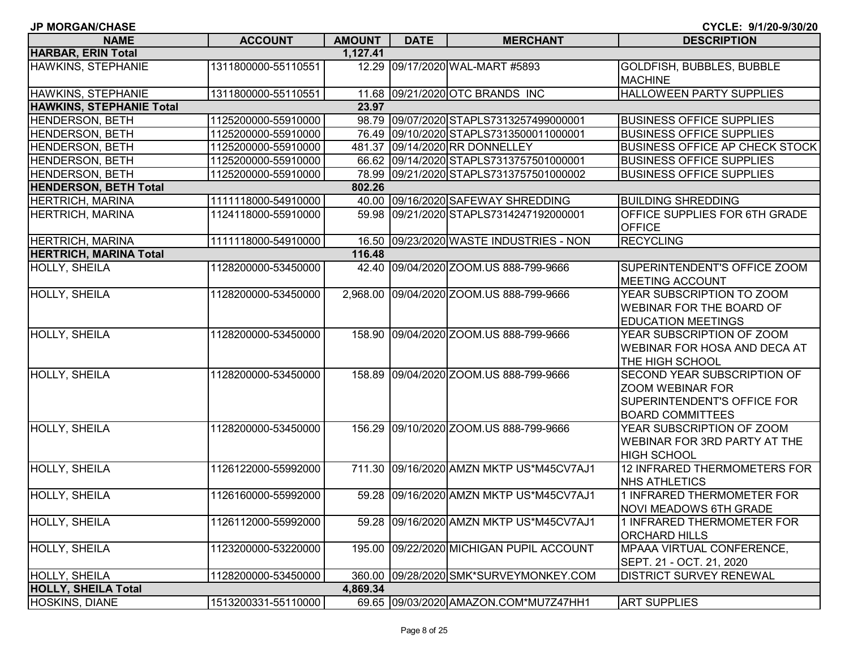| <b>JP MORGAN/CHASE</b>        |                     |               |             |                                         | CYCLE: 9/1/20-9/30/20                 |
|-------------------------------|---------------------|---------------|-------------|-----------------------------------------|---------------------------------------|
| <b>NAME</b>                   | <b>ACCOUNT</b>      | <b>AMOUNT</b> | <b>DATE</b> | <b>MERCHANT</b>                         | <b>DESCRIPTION</b>                    |
| <b>HARBAR, ERIN Total</b>     |                     | 1,127.41      |             |                                         |                                       |
| HAWKINS, STEPHANIE            | 1311800000-55110551 |               |             | 12.29 09/17/2020 WAL-MART #5893         | GOLDFISH, BUBBLES, BUBBLE             |
|                               |                     |               |             |                                         | <b>MACHINE</b>                        |
| HAWKINS, STEPHANIE            | 1311800000-55110551 |               |             | 11.68 09/21/2020 OTC BRANDS INC         | <b>HALLOWEEN PARTY SUPPLIES</b>       |
| HAWKINS, STEPHANIE Total      |                     | 23.97         |             |                                         |                                       |
| <b>HENDERSON, BETH</b>        | 1125200000-55910000 |               |             | 98.79 09/07/2020 STAPLS7313257499000001 | <b>BUSINESS OFFICE SUPPLIES</b>       |
| <b>HENDERSON, BETH</b>        | 1125200000-55910000 |               |             | 76.49 09/10/2020 STAPLS7313500011000001 | <b>BUSINESS OFFICE SUPPLIES</b>       |
| HENDERSON, BETH               | 1125200000-55910000 |               |             | 481.37 09/14/2020 RR DONNELLEY          | <b>BUSINESS OFFICE AP CHECK STOCK</b> |
| <b>HENDERSON, BETH</b>        | 1125200000-55910000 |               |             | 66.62 09/14/2020 STAPLS7313757501000001 | <b>BUSINESS OFFICE SUPPLIES</b>       |
| <b>HENDERSON, BETH</b>        | 1125200000-55910000 |               |             | 78.99 09/21/2020 STAPLS7313757501000002 | <b>BUSINESS OFFICE SUPPLIES</b>       |
| <b>HENDERSON, BETH Total</b>  |                     | 802.26        |             |                                         |                                       |
| <b>HERTRICH, MARINA</b>       | 1111118000-54910000 |               |             | 40.00 09/16/2020 SAFEWAY SHREDDING      | <b>BUILDING SHREDDING</b>             |
| <b>HERTRICH, MARINA</b>       | 1124118000-55910000 | 59.98         |             | 09/21/2020 STAPLS7314247192000001       | OFFICE SUPPLIES FOR 6TH GRADE         |
|                               |                     |               |             |                                         | <b>OFFICE</b>                         |
| <b>HERTRICH, MARINA</b>       | 1111118000-54910000 |               |             | 16.50 09/23/2020 WASTE INDUSTRIES - NON | <b>RECYCLING</b>                      |
| <b>HERTRICH, MARINA Total</b> |                     | 116.48        |             |                                         |                                       |
| HOLLY, SHEILA                 | 1128200000-53450000 |               |             | 42.40 09/04/2020 ZOOM.US 888-799-9666   | SUPERINTENDENT'S OFFICE ZOOM          |
|                               |                     |               |             |                                         | <b>MEETING ACCOUNT</b>                |
| HOLLY, SHEILA                 | 1128200000-53450000 | 2,968.00      |             | 09/04/2020 ZOOM.US 888-799-9666         | YEAR SUBSCRIPTION TO ZOOM             |
|                               |                     |               |             |                                         | WEBINAR FOR THE BOARD OF              |
|                               |                     |               |             |                                         | <b>EDUCATION MEETINGS</b>             |
| HOLLY, SHEILA                 | 1128200000-53450000 |               |             | 158.90 09/04/2020 ZOOM.US 888-799-9666  | YEAR SUBSCRIPTION OF ZOOM             |
|                               |                     |               |             |                                         | <b>WEBINAR FOR HOSA AND DECA AT</b>   |
|                               |                     |               |             |                                         | THE HIGH SCHOOL                       |
| <b>HOLLY, SHEILA</b>          | 1128200000-53450000 |               |             | 158.89 09/04/2020 ZOOM.US 888-799-9666  | SECOND YEAR SUBSCRIPTION OF           |
|                               |                     |               |             |                                         | ZOOM WEBINAR FOR                      |
|                               |                     |               |             |                                         | SUPERINTENDENT'S OFFICE FOR           |
|                               |                     |               |             |                                         | <b>BOARD COMMITTEES</b>               |
| <b>HOLLY, SHEILA</b>          | 1128200000-53450000 |               |             | 156.29 09/10/2020 ZOOM.US 888-799-9666  | YEAR SUBSCRIPTION OF ZOOM             |
|                               |                     |               |             |                                         | WEBINAR FOR 3RD PARTY AT THE          |
|                               |                     |               |             |                                         | <b>HIGH SCHOOL</b>                    |
| <b>HOLLY, SHEILA</b>          | 1126122000-55992000 | 711.30        |             | 09/16/2020 AMZN MKTP US*M45CV7AJ1       | 12 INFRARED THERMOMETERS FOR          |
|                               |                     |               |             |                                         | <b>NHS ATHLETICS</b>                  |
| <b>HOLLY, SHEILA</b>          | 1126160000-55992000 |               |             | 59.28 09/16/2020 AMZN MKTP US*M45CV7AJ1 | 1 INFRARED THERMOMETER FOR            |
|                               |                     |               |             |                                         | <b>NOVI MEADOWS 6TH GRADE</b>         |
| HOLLY, SHEILA                 | 1126112000-55992000 | 59.28         |             | 09/16/2020 AMZN MKTP US*M45CV7AJ1       | 1 INFRARED THERMOMETER FOR            |
|                               |                     |               |             |                                         | <b>ORCHARD HILLS</b>                  |
| HOLLY, SHEILA                 | 1123200000-53220000 | 195.00        |             | 09/22/2020 MICHIGAN PUPIL ACCOUNT       | MPAAA VIRTUAL CONFERENCE,             |
|                               |                     |               |             |                                         | SEPT. 21 - OCT. 21, 2020              |
| <b>HOLLY, SHEILA</b>          | 1128200000-53450000 | 360.00        |             | 09/28/2020 SMK*SURVEYMONKEY.COM         | <b>DISTRICT SURVEY RENEWAL</b>        |
| <b>HOLLY, SHEILA Total</b>    |                     | 4,869.34      |             |                                         |                                       |
| HOSKINS, DIANE                | 1513200331-55110000 |               |             | 69.65 09/03/2020 AMAZON.COM*MU7Z47HH1   | <b>ART SUPPLIES</b>                   |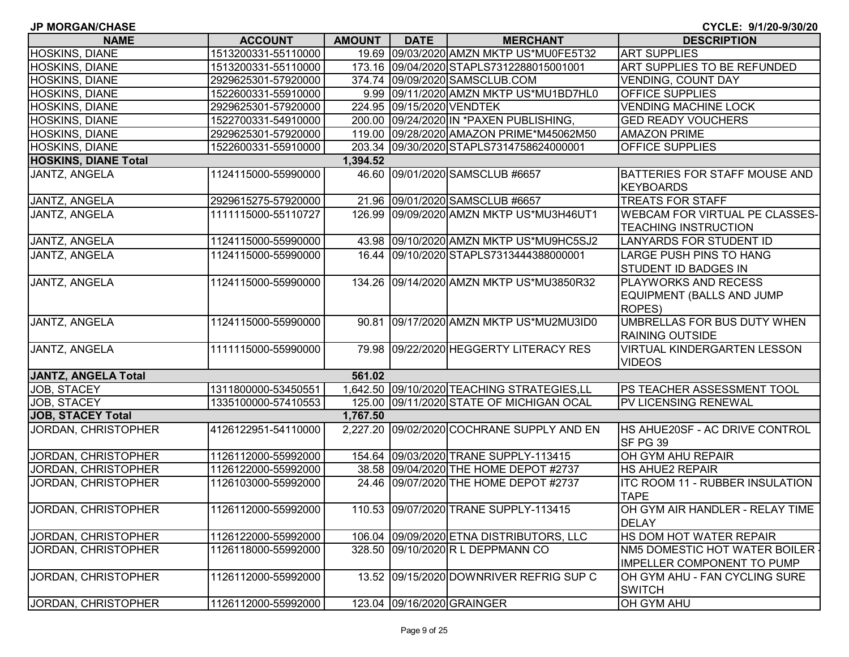| <b>JP MORGAN/CHASE</b> |  |
|------------------------|--|
|------------------------|--|

**CYCLE: 9/1/20-9/30/20**

| םטחוס שמשפח שוו<br><b>NAME</b> | <b>ACCOUNT</b>      | AMOUNT   | <b>DATE</b> | <b>MERCHANT</b>                             | <b>DESCRIPTION</b>                                                   |
|--------------------------------|---------------------|----------|-------------|---------------------------------------------|----------------------------------------------------------------------|
| HOSKINS, DIANE                 | 1513200331-55110000 |          |             | 19.69 09/03/2020 AMZN MKTP US*MU0FE5T32     | <b>ART SUPPLIES</b>                                                  |
| HOSKINS, DIANE                 | 1513200331-55110000 |          |             | 173.16 09/04/2020 STAPLS7312288015001001    | ART SUPPLIES TO BE REFUNDED                                          |
| HOSKINS, DIANE                 | 2929625301-57920000 |          |             | 374.74 09/09/2020 SAMSCLUB.COM              | <b>VENDING, COUNT DAY</b>                                            |
| HOSKINS, DIANE                 | 1522600331-55910000 |          |             | 9.99 09/11/2020 AMZN MKTP US*MU1BD7HL0      | <b>OFFICE SUPPLIES</b>                                               |
| HOSKINS, DIANE                 | 2929625301-57920000 |          |             | 224.95 09/15/2020 VENDTEK                   | <b>VENDING MACHINE LOCK</b>                                          |
| HOSKINS, DIANE                 | 1522700331-54910000 |          |             | 200.00 09/24/2020 IN * PAXEN PUBLISHING,    | <b>GED READY VOUCHERS</b>                                            |
| <b>HOSKINS, DIANE</b>          | 2929625301-57920000 |          |             | 119.00 09/28/2020 AMAZON PRIME*M45062M50    | <b>AMAZON PRIME</b>                                                  |
| <b>HOSKINS, DIANE</b>          | 1522600331-55910000 |          |             | 203.34 09/30/2020 STAPLS7314758624000001    | <b>OFFICE SUPPLIES</b>                                               |
| <b>HOSKINS, DIANE Total</b>    |                     | 1,394.52 |             |                                             |                                                                      |
| JANTZ, ANGELA                  | 1124115000-55990000 |          |             | 46.60 09/01/2020 SAMSCLUB #6657             | BATTERIES FOR STAFF MOUSE AND<br><b>KEYBOARDS</b>                    |
| JANTZ, ANGELA                  | 2929615275-57920000 |          |             | 21.96 09/01/2020 SAMSCLUB #6657             | <b>TREATS FOR STAFF</b>                                              |
| JANTZ, ANGELA                  | 1111115000-55110727 |          |             | 126.99 09/09/2020 AMZN MKTP US*MU3H46UT1    | <b>WEBCAM FOR VIRTUAL PE CLASSES-</b><br><b>TEACHING INSTRUCTION</b> |
| JANTZ, ANGELA                  | 1124115000-55990000 |          |             | 43.98 09/10/2020 AMZN MKTP US*MU9HC5SJ2     | <b>LANYARDS FOR STUDENT ID</b>                                       |
| <b>JANTZ, ANGELA</b>           | 1124115000-55990000 |          |             | 16.44 09/10/2020 STAPLS7313444388000001     | <b>LARGE PUSH PINS TO HANG</b><br><b>STUDENT ID BADGES IN</b>        |
| JANTZ, ANGELA                  | 1124115000-55990000 |          |             | 134.26 09/14/2020 AMZN MKTP US*MU3850R32    | PLAYWORKS AND RECESS<br>EQUIPMENT (BALLS AND JUMP<br>ROPES)          |
| JANTZ, ANGELA                  | 1124115000-55990000 |          |             | 90.81 09/17/2020 AMZN MKTP US*MU2MU3ID0     | UMBRELLAS FOR BUS DUTY WHEN<br><b>RAINING OUTSIDE</b>                |
| JANTZ, ANGELA                  | 1111115000-55990000 |          |             | 79.98 09/22/2020 HEGGERTY LITERACY RES      | <b>VIRTUAL KINDERGARTEN LESSON</b><br><b>VIDEOS</b>                  |
| JANTZ, ANGELA Total            |                     | 561.02   |             |                                             |                                                                      |
| JOB, STACEY                    | 1311800000-53450551 |          |             | 1,642.50 09/10/2020 TEACHING STRATEGIES, LL | <b>PS TEACHER ASSESSMENT TOOL</b>                                    |
| JOB, STACEY                    | 1335100000-57410553 |          |             | 125.00 09/11/2020 STATE OF MICHIGAN OCAL    | <b>PV LICENSING RENEWAL</b>                                          |
| <b>JOB, STACEY Total</b>       |                     | 1,767.50 |             |                                             |                                                                      |
| JORDAN, CHRISTOPHER            | 4126122951-54110000 |          |             | 2,227.20 09/02/2020 COCHRANE SUPPLY AND EN  | HS AHUE20SF - AC DRIVE CONTROL<br>SF PG 39                           |
| JORDAN, CHRISTOPHER            | 1126112000-55992000 |          |             | 154.64 09/03/2020 TRANE SUPPLY-113415       | OH GYM AHU REPAIR                                                    |
| JORDAN, CHRISTOPHER            | 1126122000-55992000 |          |             | 38.58 09/04/2020 THE HOME DEPOT #2737       | <b>HS AHUE2 REPAIR</b>                                               |
| JORDAN, CHRISTOPHER            | 1126103000-55992000 |          |             | 24.46 09/07/2020 THE HOME DEPOT #2737       | <b>ITC ROOM 11 - RUBBER INSULATION</b><br><b>TAPE</b>                |
| JORDAN, CHRISTOPHER            | 1126112000-55992000 |          |             | 110.53 09/07/2020 TRANE SUPPLY-113415       | OH GYM AIR HANDLER - RELAY TIME<br><b>DELAY</b>                      |
| JORDAN, CHRISTOPHER            | 1126122000-55992000 |          |             | 106.04 09/09/2020 ETNA DISTRIBUTORS, LLC    | HS DOM HOT WATER REPAIR                                              |
| JORDAN, CHRISTOPHER            | 1126118000-55992000 |          |             | 328.50 09/10/2020 R L DEPPMANN CO           | NM5 DOMESTIC HOT WATER BOILER .<br><b>IMPELLER COMPONENT TO PUMP</b> |
| JORDAN, CHRISTOPHER            | 1126112000-55992000 |          |             | 13.52 09/15/2020 DOWNRIVER REFRIG SUP C     | OH GYM AHU - FAN CYCLING SURE<br><b>SWITCH</b>                       |
| JORDAN, CHRISTOPHER            | 1126112000-55992000 |          |             | 123.04 09/16/2020 GRAINGER                  | OH GYM AHU                                                           |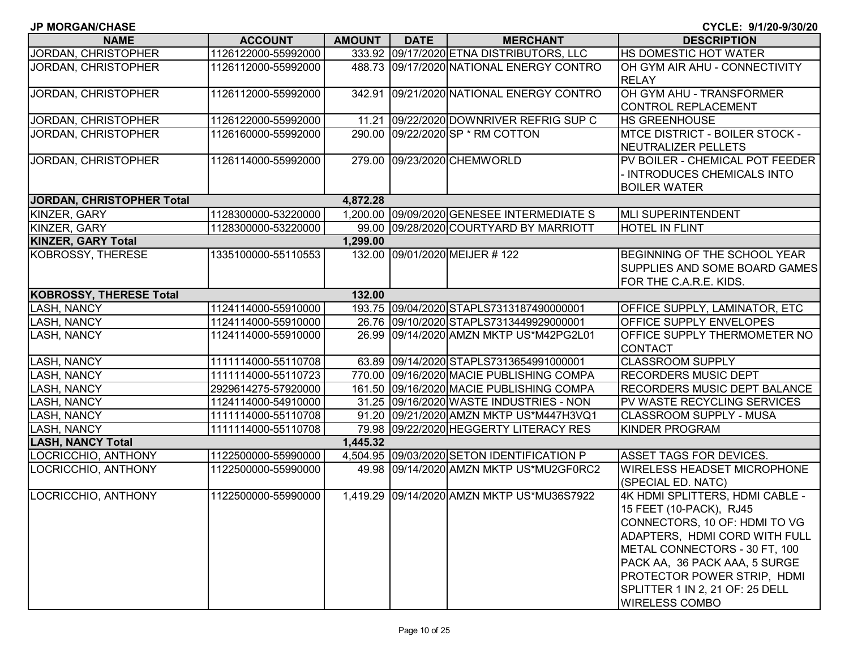| <b>NAME</b>                            | <b>ACCOUNT</b>      | <b>AMOUNT</b> | <b>DATE</b>   |  |
|----------------------------------------|---------------------|---------------|---------------|--|
| JORDAN, CHRISTOPHER                    | 1126122000-55992000 | 333.92        | 09/17/2020 ET |  |
| JORDAN, CHRISTOPHER                    | 1126112000-55992000 | 488.73        | 09/17/2020 NA |  |
| <b>JORDAN, CHRISTOPHER</b>             | 1126112000-55992000 | 342.91        | 09/21/2020 NA |  |
| <b>JORDAN, CHRISTOPHER</b>             | 1126122000-55992000 | 11.21         | 09/22/2020 DC |  |
| <b>JORDAN, CHRISTOPHER</b>             | 1126160000-55992000 | 290.00        | 09/22/2020 SP |  |
| JORDAN, CHRISTOPHER                    | 1126114000-55992000 | 279.00        | 09/23/2020 CH |  |
| <b>JORDAN, CHRISTOPHER Total</b>       |                     | 4,872.28      |               |  |
| KINZER, GARY                           | 1128300000-53220000 | 1,200.00      | 09/09/2020 GE |  |
| KINZER, GARY                           | 1128300000-53220000 | 99.00         | 09/28/2020 CC |  |
| $I/II$ $I = R$ $A$ $A$ $B$ $I$ $F$ $I$ |                     | 4 AAA AA      |               |  |

| <b>NAME</b>                      | <b>ACCOUNT</b>      | <b>AMOUNT</b> | <b>DATE</b> | <b>MERCHANT</b>                            | <b>DESCRIPTION</b>                                            |
|----------------------------------|---------------------|---------------|-------------|--------------------------------------------|---------------------------------------------------------------|
| JORDAN, CHRISTOPHER              | 1126122000-55992000 |               |             | 333.92 09/17/2020 ETNA DISTRIBUTORS, LLC   | HS DOMESTIC HOT WATER                                         |
| JORDAN, CHRISTOPHER              | 1126112000-55992000 |               |             | 488.73 09/17/2020 NATIONAL ENERGY CONTRO   | OH GYM AIR AHU - CONNECTIVITY                                 |
|                                  |                     |               |             |                                            | <b>RELAY</b>                                                  |
| JORDAN, CHRISTOPHER              | 1126112000-55992000 |               |             | 342.91 09/21/2020 NATIONAL ENERGY CONTRO   | OH GYM AHU - TRANSFORMER                                      |
|                                  |                     |               |             |                                            | <b>CONTROL REPLACEMENT</b>                                    |
| JORDAN, CHRISTOPHER              | 1126122000-55992000 |               |             | 11.21 09/22/2020 DOWNRIVER REFRIG SUP C    | <b>HS GREENHOUSE</b>                                          |
| <b>JORDAN, CHRISTOPHER</b>       | 1126160000-55992000 |               |             | 290.00 09/22/2020 SP * RM COTTON           | <b>MTCE DISTRICT - BOILER STOCK -</b><br>NEUTRALIZER PELLETS  |
| JORDAN, CHRISTOPHER              | 1126114000-55992000 |               |             | 279.00 09/23/2020 CHEMWORLD                | PV BOILER - CHEMICAL POT FEEDER                               |
|                                  |                     |               |             |                                            | - INTRODUCES CHEMICALS INTO                                   |
|                                  |                     |               |             |                                            | <b>BOILER WATER</b>                                           |
| <b>JORDAN, CHRISTOPHER Total</b> |                     | 4,872.28      |             |                                            |                                                               |
| KINZER, GARY                     | 1128300000-53220000 |               |             | 1,200.00 09/09/2020 GENESEE INTERMEDIATE S | MLI SUPERINTENDENT                                            |
| KINZER, GARY                     | 1128300000-53220000 |               |             | 99.00 09/28/2020 COURTYARD BY MARRIOTT     | <b>HOTEL IN FLINT</b>                                         |
| <b>KINZER, GARY Total</b>        |                     | 1,299.00      |             |                                            |                                                               |
| KOBROSSY, THERESE                | 1335100000-55110553 |               |             | 132.00 09/01/2020 MEIJER #122              | BEGINNING OF THE SCHOOL YEAR<br>SUPPLIES AND SOME BOARD GAMES |
|                                  |                     |               |             |                                            | FOR THE C.A.R.E. KIDS.                                        |
| KOBROSSY, THERESE Total          |                     | 132.00        |             |                                            |                                                               |
| <b>LASH, NANCY</b>               | 1124114000-55910000 |               |             | 193.75 09/04/2020 STAPLS7313187490000001   | OFFICE SUPPLY, LAMINATOR, ETC                                 |
| LASH, NANCY                      | 1124114000-55910000 |               |             | 26.76 09/10/2020 STAPLS7313449929000001    | OFFICE SUPPLY ENVELOPES                                       |
| LASH, NANCY                      | 1124114000-55910000 |               |             | 26.99 09/14/2020 AMZN MKTP US*M42PG2L01    | OFFICE SUPPLY THERMOMETER NO                                  |
|                                  |                     |               |             |                                            | <b>CONTACT</b>                                                |
| <b>LASH, NANCY</b>               | 1111114000-55110708 |               |             | 63.89 09/14/2020 STAPLS7313654991000001    | <b>CLASSROOM SUPPLY</b>                                       |
| <b>LASH, NANCY</b>               | 1111114000-55110723 |               |             | 770.00 09/16/2020 MACIE PUBLISHING COMPA   | <b>RECORDERS MUSIC DEPT</b>                                   |
| <b>LASH, NANCY</b>               | 2929614275-57920000 |               |             | 161.50 09/16/2020 MACIE PUBLISHING COMPA   | <b>RECORDERS MUSIC DEPT BALANCE</b>                           |
| <b>LASH, NANCY</b>               | 1124114000-54910000 |               |             | 31.25 09/16/2020 WASTE INDUSTRIES - NON    | PV WASTE RECYCLING SERVICES                                   |
| <b>LASH, NANCY</b>               | 1111114000-55110708 |               |             | 91.20 09/21/2020 AMZN MKTP US*M447H3VQ1    | <b>CLASSROOM SUPPLY - MUSA</b>                                |
| LASH, NANCY                      | 1111114000-55110708 |               |             | 79.98 09/22/2020 HEGGERTY LITERACY RES     | <b>KINDER PROGRAM</b>                                         |
| <b>LASH, NANCY Total</b>         |                     | 1,445.32      |             |                                            |                                                               |
| LOCRICCHIO, ANTHONY              | 1122500000-55990000 |               |             | 4,504.95 09/03/2020 SETON IDENTIFICATION P | <b>ASSET TAGS FOR DEVICES.</b>                                |
| LOCRICCHIO, ANTHONY              | 1122500000-55990000 |               |             | 49.98 09/14/2020 AMZN MKTP US*MU2GF0RC2    | <b>WIRELESS HEADSET MICROPHONE</b>                            |
|                                  |                     |               |             |                                            | (SPECIAL ED. NATC)                                            |
| LOCRICCHIO, ANTHONY              | 1122500000-55990000 |               |             | 1,419.29 09/14/2020 AMZN MKTP US*MU36S7922 | 4K HDMI SPLITTERS, HDMI CABLE -                               |
|                                  |                     |               |             |                                            | 15 FEET (10-PACK), RJ45                                       |
|                                  |                     |               |             |                                            | CONNECTORS, 10 OF: HDMI TO VG                                 |
|                                  |                     |               |             |                                            | ADAPTERS, HDMI CORD WITH FULL                                 |
|                                  |                     |               |             |                                            | METAL CONNECTORS - 30 FT, 100                                 |
|                                  |                     |               |             |                                            | PACK AA, 36 PACK AAA, 5 SURGE                                 |
|                                  |                     |               |             |                                            | PROTECTOR POWER STRIP, HDMI                                   |
|                                  |                     |               |             |                                            | SPLITTER 1 IN 2, 21 OF: 25 DELL                               |
|                                  |                     |               |             |                                            | <b>WIRELESS COMBO</b>                                         |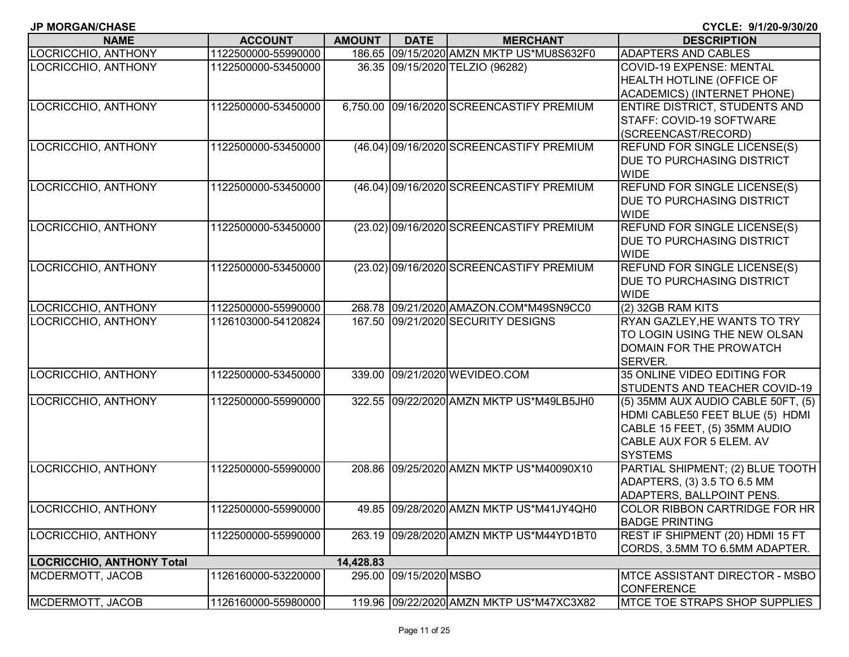**JP MORGAN/CHASE**

| <b>NAME</b>                                | <b>ACCOUNT</b>                             | <b>AMOUNT</b> | <b>DATE</b>     | <b>MERCHANT</b>                           | <b>DESCRIPTION</b>                                           |
|--------------------------------------------|--------------------------------------------|---------------|-----------------|-------------------------------------------|--------------------------------------------------------------|
| LOCRICCHIO, ANTHONY                        | 1122500000-55990000                        |               |                 | 186.65 09/15/2020 AMZN MKTP US*MU8S632F0  | ADAPTERS AND CABLES                                          |
| LOCRICCHIO, ANTHONY                        | 1122500000-53450000                        |               |                 | 36.35 09/15/2020 TELZIO (96282)           | COVID-19 EXPENSE: MENTAL                                     |
|                                            |                                            |               |                 |                                           | HEALTH HOTLINE (OFFICE OF                                    |
|                                            |                                            |               |                 |                                           | <b>ACADEMICS) (INTERNET PHONE)</b>                           |
| LOCRICCHIO, ANTHONY                        | 1122500000-53450000                        |               |                 | 6,750.00 09/16/2020 SCREENCASTIFY PREMIUM | ENTIRE DISTRICT, STUDENTS AND                                |
|                                            |                                            |               |                 |                                           | STAFF: COVID-19 SOFTWARE                                     |
|                                            |                                            |               |                 |                                           | (SCREENCAST/RECORD)                                          |
| LOCRICCHIO, ANTHONY                        | 1122500000-53450000                        |               |                 | (46.04) 09/16/2020 SCREENCASTIFY PREMIUM  | <b>REFUND FOR SINGLE LICENSE(S)</b>                          |
|                                            |                                            |               |                 |                                           | DUE TO PURCHASING DISTRICT                                   |
|                                            |                                            |               |                 |                                           | <b>WIDE</b>                                                  |
| LOCRICCHIO, ANTHONY                        | 1122500000-53450000                        |               |                 | (46.04) 09/16/2020 SCREENCASTIFY PREMIUM  | <b>REFUND FOR SINGLE LICENSE(S)</b>                          |
|                                            |                                            |               |                 |                                           | DUE TO PURCHASING DISTRICT                                   |
|                                            |                                            |               |                 |                                           | <b>WIDE</b>                                                  |
| LOCRICCHIO, ANTHONY                        | 1122500000-53450000                        |               |                 | (23.02) 09/16/2020 SCREENCASTIFY PREMIUM  | <b>REFUND FOR SINGLE LICENSE(S)</b>                          |
|                                            |                                            |               |                 |                                           | DUE TO PURCHASING DISTRICT                                   |
|                                            |                                            |               |                 |                                           | <b>WIDE</b>                                                  |
| LOCRICCHIO, ANTHONY                        | 1122500000-53450000                        |               |                 | (23.02) 09/16/2020 SCREENCASTIFY PREMIUM  | <b>REFUND FOR SINGLE LICENSE(S)</b>                          |
|                                            |                                            |               |                 |                                           | DUE TO PURCHASING DISTRICT                                   |
|                                            |                                            |               |                 | 268.78 09/21/2020 AMAZON.COM*M49SN9CC0    | <b>WIDE</b>                                                  |
| LOCRICCHIO, ANTHONY<br>LOCRICCHIO, ANTHONY | 1122500000-55990000<br>1126103000-54120824 |               |                 | 167.50 09/21/2020 SECURITY DESIGNS        | (2) 32GB RAM KITS                                            |
|                                            |                                            |               |                 |                                           | RYAN GAZLEY, HE WANTS TO TRY<br>TO LOGIN USING THE NEW OLSAN |
|                                            |                                            |               |                 |                                           | DOMAIN FOR THE PROWATCH                                      |
|                                            |                                            |               |                 |                                           | SERVER.                                                      |
| LOCRICCHIO, ANTHONY                        | 1122500000-53450000                        |               |                 | 339.00 09/21/2020 WEVIDEO.COM             | 35 ONLINE VIDEO EDITING FOR                                  |
|                                            |                                            |               |                 |                                           | STUDENTS AND TEACHER COVID-19                                |
| LOCRICCHIO, ANTHONY                        | 1122500000-55990000                        |               |                 | 322.55 09/22/2020 AMZN MKTP US*M49LB5JH0  | (5) 35MM AUX AUDIO CABLE 50FT, (5)                           |
|                                            |                                            |               |                 |                                           | HDMI CABLE50 FEET BLUE (5) HDMI                              |
|                                            |                                            |               |                 |                                           | CABLE 15 FEET, (5) 35MM AUDIO                                |
|                                            |                                            |               |                 |                                           | CABLE AUX FOR 5 ELEM. AV                                     |
|                                            |                                            |               |                 |                                           | <b>SYSTEMS</b>                                               |
| LOCRICCHIO, ANTHONY                        | 1122500000-55990000                        |               |                 | 208.86 09/25/2020 AMZN MKTP US*M40090X10  | PARTIAL SHIPMENT; (2) BLUE TOOTH                             |
|                                            |                                            |               |                 |                                           | ADAPTERS, (3) 3.5 TO 6.5 MM                                  |
|                                            |                                            |               |                 |                                           | ADAPTERS, BALLPOINT PENS.                                    |
| LOCRICCHIO, ANTHONY                        | 1122500000-55990000                        |               |                 | 49.85 09/28/2020 AMZN MKTP US*M41JY4QH0   | <b>COLOR RIBBON CARTRIDGE FOR HR</b>                         |
|                                            |                                            |               |                 |                                           | <b>BADGE PRINTING</b>                                        |
| LOCRICCHIO, ANTHONY                        | 1122500000-55990000                        | 263.19        |                 | 09/28/2020 AMZN MKTP US*M44YD1BT0         | REST IF SHIPMENT (20) HDMI 15 FT                             |
|                                            |                                            |               |                 |                                           | CORDS, 3.5MM TO 6.5MM ADAPTER.                               |
| <b>LOCRICCHIO, ANTHONY Total</b>           |                                            | 14,428.83     |                 |                                           |                                                              |
| MCDERMOTT, JACOB                           | 1126160000-53220000                        | 295.00        | 09/15/2020 MSBO |                                           | MTCE ASSISTANT DIRECTOR - MSBO                               |
|                                            |                                            |               |                 |                                           | <b>CONFERENCE</b>                                            |
| MCDERMOTT, JACOB                           | 1126160000-55980000                        |               |                 | 119.96 09/22/2020 AMZN MKTP US*M47XC3X82  | MTCE TOE STRAPS SHOP SUPPLIES                                |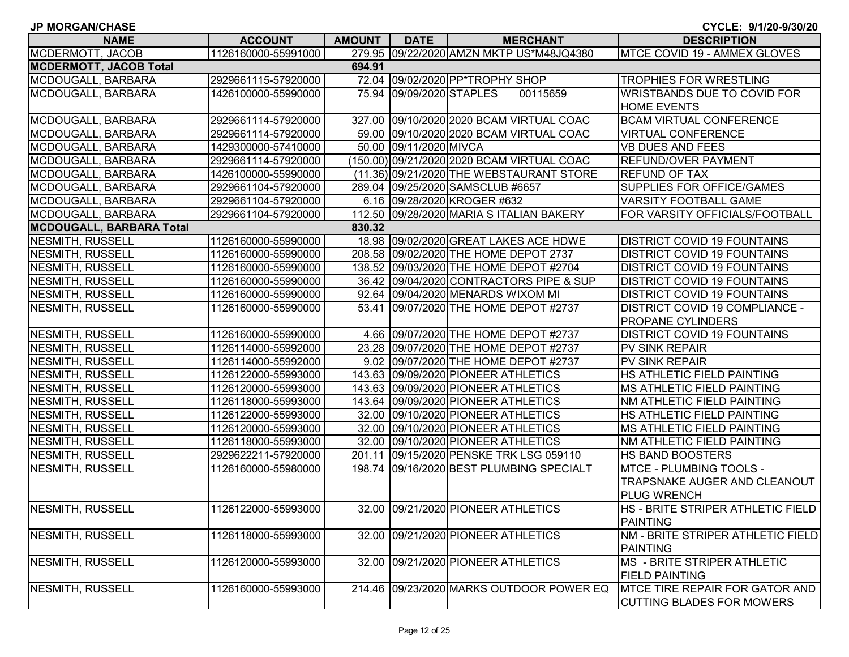| <b>JP MORGAN/CHASE</b>          |                     |               |                          |                                            | CYCLE: 9/1/20-9/30/20                 |
|---------------------------------|---------------------|---------------|--------------------------|--------------------------------------------|---------------------------------------|
| <b>NAME</b>                     | <b>ACCOUNT</b>      | <b>AMOUNT</b> | <b>DATE</b>              | <b>MERCHANT</b>                            | <b>DESCRIPTION</b>                    |
| MCDERMOTT, JACOB                | 1126160000-55991000 |               |                          | 279.95 09/22/2020 AMZN MKTP US*M48JQ4380   | MTCE COVID 19 - AMMEX GLOVES          |
| <b>MCDERMOTT, JACOB Total</b>   |                     | 694.91        |                          |                                            |                                       |
| MCDOUGALL, BARBARA              | 2929661115-57920000 |               |                          | 72.04 09/02/2020 PP*TROPHY SHOP            | <b>TROPHIES FOR WRESTLING</b>         |
| MCDOUGALL, BARBARA              | 1426100000-55990000 |               | 75.94 09/09/2020 STAPLES | 00115659                                   | WRISTBANDS DUE TO COVID FOR           |
|                                 |                     |               |                          |                                            | <b>HOME EVENTS</b>                    |
| MCDOUGALL, BARBARA              | 2929661114-57920000 |               |                          | 327.00 09/10/2020 2020 BCAM VIRTUAL COAC   | <b>BCAM VIRTUAL CONFERENCE</b>        |
| MCDOUGALL, BARBARA              | 2929661114-57920000 |               |                          | 59.00 09/10/2020 2020 BCAM VIRTUAL COAC    | <b>VIRTUAL CONFERENCE</b>             |
| MCDOUGALL, BARBARA              | 1429300000-57410000 |               | 50.00 09/11/2020 MIVCA   |                                            | <b>VB DUES AND FEES</b>               |
| MCDOUGALL, BARBARA              | 2929661114-57920000 |               |                          | (150.00) 09/21/2020 2020 BCAM VIRTUAL COAC | <b>REFUND/OVER PAYMENT</b>            |
| MCDOUGALL, BARBARA              | 1426100000-55990000 |               |                          | (11.36) 09/21/2020 THE WEBSTAURANT STORE   | <b>REFUND OF TAX</b>                  |
| MCDOUGALL, BARBARA              | 2929661104-57920000 |               |                          | 289.04 09/25/2020 SAMSCLUB #6657           | SUPPLIES FOR OFFICE/GAMES             |
| MCDOUGALL, BARBARA              | 2929661104-57920000 |               |                          | 6.16 09/28/2020 KROGER #632                | <b>VARSITY FOOTBALL GAME</b>          |
| MCDOUGALL, BARBARA              | 2929661104-57920000 |               |                          | 112.50 09/28/2020 MARIA S ITALIAN BAKERY   | FOR VARSITY OFFICIALS/FOOTBALL        |
| <b>MCDOUGALL, BARBARA Total</b> |                     | 830.32        |                          |                                            |                                       |
| <b>NESMITH, RUSSELL</b>         | 1126160000-55990000 |               |                          | 18.98 09/02/2020 GREAT LAKES ACE HDWE      | <b>DISTRICT COVID 19 FOUNTAINS</b>    |
| <b>NESMITH, RUSSELL</b>         | 1126160000-55990000 |               |                          | 208.58 09/02/2020 THE HOME DEPOT 2737      | <b>DISTRICT COVID 19 FOUNTAINS</b>    |
| <b>NESMITH, RUSSELL</b>         | 1126160000-55990000 |               |                          | 138.52 09/03/2020 THE HOME DEPOT #2704     | <b>DISTRICT COVID 19 FOUNTAINS</b>    |
| <b>NESMITH, RUSSELL</b>         | 1126160000-55990000 |               |                          | 36.42 09/04/2020 CONTRACTORS PIPE & SUP    | <b>DISTRICT COVID 19 FOUNTAINS</b>    |
| <b>NESMITH, RUSSELL</b>         | 1126160000-55990000 |               |                          | 92.64 09/04/2020 MENARDS WIXOM MI          | <b>DISTRICT COVID 19 FOUNTAINS</b>    |
| <b>NESMITH, RUSSELL</b>         | 1126160000-55990000 |               |                          | 53.41 09/07/2020 THE HOME DEPOT #2737      | DISTRICT COVID 19 COMPLIANCE -        |
|                                 |                     |               |                          |                                            | PROPANE CYLINDERS                     |
| NESMITH, RUSSELL                | 1126160000-55990000 |               |                          | 4.66 09/07/2020 THE HOME DEPOT #2737       | <b>DISTRICT COVID 19 FOUNTAINS</b>    |
| NESMITH, RUSSELL                | 1126114000-55992000 |               |                          | 23.28 09/07/2020 THE HOME DEPOT #2737      | PV SINK REPAIR                        |
| <b>NESMITH, RUSSELL</b>         | 1126114000-55992000 |               |                          | 9.02 09/07/2020 THE HOME DEPOT #2737       | <b>PV SINK REPAIR</b>                 |
| <b>NESMITH, RUSSELL</b>         | 1126122000-55993000 |               |                          | 143.63 09/09/2020 PIONEER ATHLETICS        | HS ATHLETIC FIELD PAINTING            |
| <b>NESMITH, RUSSELL</b>         | 1126120000-55993000 |               |                          | 143.63 09/09/2020 PIONEER ATHLETICS        | MS ATHLETIC FIELD PAINTING            |
| <b>NESMITH, RUSSELL</b>         | 1126118000-55993000 |               |                          | 143.64 09/09/2020 PIONEER ATHLETICS        | NM ATHLETIC FIELD PAINTING            |
| <b>NESMITH, RUSSELL</b>         | 1126122000-55993000 |               |                          | 32.00 09/10/2020 PIONEER ATHLETICS         | HS ATHLETIC FIELD PAINTING            |
| <b>NESMITH, RUSSELL</b>         | 1126120000-55993000 |               |                          | 32.00 09/10/2020 PIONEER ATHLETICS         | <b>MS ATHLETIC FIELD PAINTING</b>     |
| <b>NESMITH, RUSSELL</b>         | 1126118000-55993000 |               |                          | 32.00 09/10/2020 PIONEER ATHLETICS         | NM ATHLETIC FIELD PAINTING            |
| <b>NESMITH, RUSSELL</b>         | 2929622211-57920000 |               |                          | 201.11 09/15/2020 PENSKE TRK LSG 059110    | HS BAND BOOSTERS                      |
| <b>NESMITH, RUSSELL</b>         | 1126160000-55980000 |               |                          | 198.74 09/16/2020 BEST PLUMBING SPECIALT   | <b>MTCE - PLUMBING TOOLS -</b>        |
|                                 |                     |               |                          |                                            | TRAPSNAKE AUGER AND CLEANOUT          |
|                                 |                     |               |                          |                                            | <b>PLUG WRENCH</b>                    |
| NESMITH, RUSSELL                | 1126122000-55993000 |               |                          | 32.00 09/21/2020 PIONEER ATHLETICS         | HS - BRITE STRIPER ATHLETIC FIELD     |
|                                 |                     |               |                          |                                            | <b>PAINTING</b>                       |
| NESMITH, RUSSELL                | 1126118000-55993000 |               |                          | 32.00 09/21/2020 PIONEER ATHLETICS         | NM - BRITE STRIPER ATHLETIC FIELD     |
|                                 |                     |               |                          |                                            | <b>PAINTING</b>                       |
| <b>NESMITH, RUSSELL</b>         | 1126120000-55993000 |               |                          | 32.00 09/21/2020 PIONEER ATHLETICS         | MS - BRITE STRIPER ATHLETIC           |
|                                 |                     |               |                          |                                            | <b>FIELD PAINTING</b>                 |
| NESMITH, RUSSELL                | 1126160000-55993000 |               |                          | 214.46 09/23/2020 MARKS OUTDOOR POWER EQ   | <b>MTCE TIRE REPAIR FOR GATOR AND</b> |
|                                 |                     |               |                          |                                            | <b>CUTTING BLADES FOR MOWERS</b>      |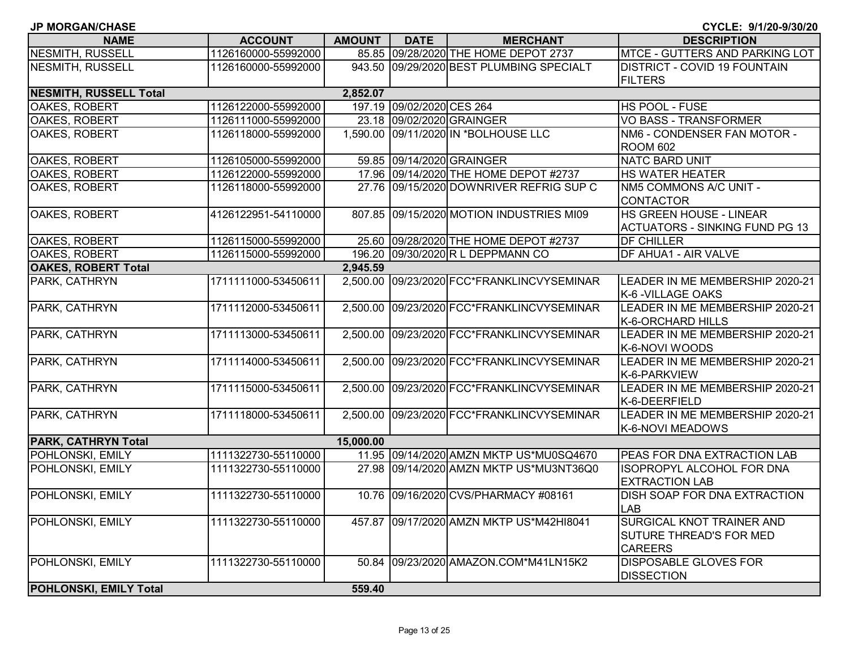| <b>JP MORGAN/CHASE</b>        |                     |               |                           |                                            | CYCLE: 9/1/20-9/30/20                 |
|-------------------------------|---------------------|---------------|---------------------------|--------------------------------------------|---------------------------------------|
| <b>NAME</b>                   | <b>ACCOUNT</b>      | <b>AMOUNT</b> | <b>DATE</b>               | <b>MERCHANT</b>                            | <b>DESCRIPTION</b>                    |
| <b>NESMITH, RUSSELL</b>       | 1126160000-55992000 |               |                           | 85.85 09/28/2020 THE HOME DEPOT 2737       | MTCE - GUTTERS AND PARKING LOT        |
| NESMITH, RUSSELL              | 1126160000-55992000 |               |                           | 943.50 09/29/2020 BEST PLUMBING SPECIALT   | <b>DISTRICT - COVID 19 FOUNTAIN</b>   |
|                               |                     |               |                           |                                            | <b>FILTERS</b>                        |
| <b>NESMITH, RUSSELL Total</b> |                     | 2,852.07      |                           |                                            |                                       |
| OAKES, ROBERT                 | 1126122000-55992000 |               | 197.19 09/02/2020 CES 264 |                                            | HS POOL - FUSE                        |
| OAKES, ROBERT                 | 1126111000-55992000 |               |                           | 23.18 09/02/2020 GRAINGER                  | VO BASS - TRANSFORMER                 |
| OAKES, ROBERT                 | 1126118000-55992000 |               |                           | 1,590.00 09/11/2020 IN *BOLHOUSE LLC       | NM6 - CONDENSER FAN MOTOR -           |
|                               |                     |               |                           |                                            | <b>ROOM 602</b>                       |
| <b>OAKES, ROBERT</b>          | 1126105000-55992000 |               |                           | 59.85 09/14/2020 GRAINGER                  | <b>NATC BARD UNIT</b>                 |
| OAKES, ROBERT                 | 1126122000-55992000 |               |                           | 17.96 09/14/2020 THE HOME DEPOT #2737      | <b>HS WATER HEATER</b>                |
| OAKES, ROBERT                 | 1126118000-55992000 |               |                           | 27.76 09/15/2020 DOWNRIVER REFRIG SUP C    | NM5 COMMONS A/C UNIT -                |
|                               |                     |               |                           |                                            | <b>CONTACTOR</b>                      |
| <b>OAKES, ROBERT</b>          | 4126122951-54110000 |               |                           | 807.85 09/15/2020 MOTION INDUSTRIES MI09   | HS GREEN HOUSE - LINEAR               |
|                               |                     |               |                           |                                            | <b>ACTUATORS - SINKING FUND PG 13</b> |
| <b>OAKES, ROBERT</b>          | 1126115000-55992000 |               |                           | 25.60 09/28/2020 THE HOME DEPOT #2737      | <b>DF CHILLER</b>                     |
| <b>OAKES, ROBERT</b>          | 1126115000-55992000 |               |                           | 196.20 09/30/2020 R L DEPPMANN CO          | <b>DF AHUA1 - AIR VALVE</b>           |
| <b>OAKES, ROBERT Total</b>    |                     | 2,945.59      |                           |                                            |                                       |
| PARK, CATHRYN                 | 1711111000-53450611 |               |                           | 2,500.00 09/23/2020 FCC*FRANKLINCVYSEMINAR | LEADER IN ME MEMBERSHIP 2020-21       |
|                               |                     |               |                           |                                            | K-6 - VILLAGE OAKS                    |
| PARK, CATHRYN                 | 1711112000-53450611 |               |                           | 2,500.00 09/23/2020 FCC*FRANKLINCVYSEMINAR | LEADER IN ME MEMBERSHIP 2020-21       |
|                               |                     |               |                           |                                            | K-6-ORCHARD HILLS                     |
| PARK, CATHRYN                 | 1711113000-53450611 |               |                           | 2,500.00 09/23/2020 FCC*FRANKLINCVYSEMINAR | LEADER IN ME MEMBERSHIP 2020-21       |
|                               |                     |               |                           |                                            | K-6-NOVI WOODS                        |
| PARK, CATHRYN                 | 1711114000-53450611 |               |                           | 2,500.00 09/23/2020 FCC*FRANKLINCVYSEMINAR | LEADER IN ME MEMBERSHIP 2020-21       |
|                               |                     |               |                           |                                            | K-6-PARKVIEW                          |
| PARK, CATHRYN                 | 1711115000-53450611 |               |                           | 2,500.00 09/23/2020 FCC*FRANKLINCVYSEMINAR | LEADER IN ME MEMBERSHIP 2020-21       |
|                               |                     |               |                           |                                            | K-6-DEERFIELD                         |
| PARK, CATHRYN                 | 1711118000-53450611 |               |                           | 2,500.00 09/23/2020 FCC*FRANKLINCVYSEMINAR | LEADER IN ME MEMBERSHIP 2020-21       |
|                               |                     |               |                           |                                            | K-6-NOVI MEADOWS                      |
| <b>PARK, CATHRYN Total</b>    |                     | 15,000.00     |                           |                                            |                                       |
| <b>POHLONSKI, EMILY</b>       | 1111322730-55110000 |               |                           | 11.95 09/14/2020 AMZN MKTP US*MU0SQ4670    | PEAS FOR DNA EXTRACTION LAB           |
| POHLONSKI, EMILY              | 1111322730-55110000 |               |                           | 27.98 09/14/2020 AMZN MKTP US*MU3NT36Q0    | <b>ISOPROPYL ALCOHOL FOR DNA</b>      |
|                               |                     |               |                           |                                            | <b>EXTRACTION LAB</b>                 |
| <b>POHLONSKI, EMILY</b>       | 1111322730-55110000 |               |                           | 10.76 09/16/2020 CVS/PHARMACY #08161       | <b>IDISH SOAP FOR DNA EXTRACTION</b>  |
|                               |                     |               |                           |                                            | <b>LAB</b>                            |
| POHLONSKI, EMILY              | 1111322730-55110000 |               |                           | 457.87 09/17/2020 AMZN MKTP US*M42H18041   | SURGICAL KNOT TRAINER AND             |
|                               |                     |               |                           |                                            | <b>SUTURE THREAD'S FOR MED</b>        |
|                               |                     |               |                           |                                            | <b>CAREERS</b>                        |
| POHLONSKI, EMILY              | 1111322730-55110000 |               |                           | 50.84 09/23/2020 AMAZON.COM*M41LN15K2      | <b>DISPOSABLE GLOVES FOR</b>          |
|                               |                     |               |                           |                                            | <b>DISSECTION</b>                     |
| POHLONSKI, EMILY Total        |                     | 559.40        |                           |                                            |                                       |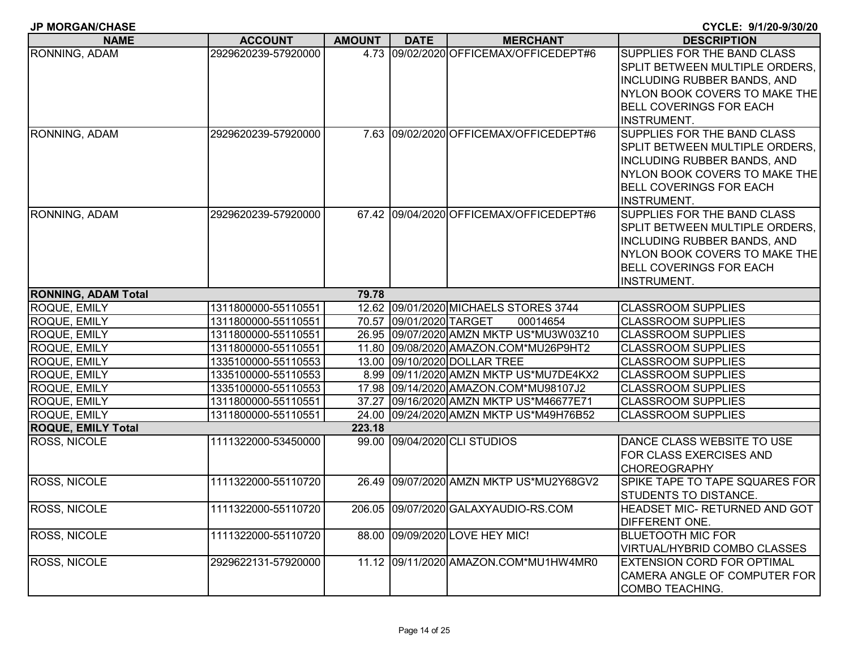| <b>NAME</b>                | <b>ACCOUNT</b>      | <b>AMOUNT</b> | <b>DATE</b>             | <b>MERCHANT</b>                         | <b>DESCRIPTION</b>                 |
|----------------------------|---------------------|---------------|-------------------------|-----------------------------------------|------------------------------------|
| RONNING, ADAM              | 2929620239-57920000 |               |                         | 4.73 09/02/2020 OFFICEMAX/OFFICEDEPT#6  | SUPPLIES FOR THE BAND CLASS        |
|                            |                     |               |                         |                                         | SPLIT BETWEEN MULTIPLE ORDERS.     |
|                            |                     |               |                         |                                         | <b>INCLUDING RUBBER BANDS, AND</b> |
|                            |                     |               |                         |                                         | NYLON BOOK COVERS TO MAKE THE      |
|                            |                     |               |                         |                                         | <b>BELL COVERINGS FOR EACH</b>     |
|                            |                     |               |                         |                                         | <b>INSTRUMENT.</b>                 |
| RONNING, ADAM              | 2929620239-57920000 |               |                         | 7.63 09/02/2020 OFFICEMAX/OFFICEDEPT#6  | SUPPLIES FOR THE BAND CLASS        |
|                            |                     |               |                         |                                         | SPLIT BETWEEN MULTIPLE ORDERS,     |
|                            |                     |               |                         |                                         | <b>INCLUDING RUBBER BANDS, AND</b> |
|                            |                     |               |                         |                                         | NYLON BOOK COVERS TO MAKE THE      |
|                            |                     |               |                         |                                         | <b>BELL COVERINGS FOR EACH</b>     |
|                            |                     |               |                         |                                         | INSTRUMENT.                        |
| RONNING, ADAM              | 2929620239-57920000 |               |                         | 67.42 09/04/2020 OFFICEMAX/OFFICEDEPT#6 | SUPPLIES FOR THE BAND CLASS        |
|                            |                     |               |                         |                                         | SPLIT BETWEEN MULTIPLE ORDERS,     |
|                            |                     |               |                         |                                         | <b>INCLUDING RUBBER BANDS, AND</b> |
|                            |                     |               |                         |                                         | NYLON BOOK COVERS TO MAKE THE      |
|                            |                     |               |                         |                                         | <b>BELL COVERINGS FOR EACH</b>     |
|                            |                     |               |                         |                                         | <b>INSTRUMENT.</b>                 |
| <b>RONNING, ADAM Total</b> |                     | 79.78         |                         |                                         |                                    |
| <b>ROQUE, EMILY</b>        | 1311800000-55110551 |               |                         | 12.62 09/01/2020 MICHAELS STORES 3744   | <b>CLASSROOM SUPPLIES</b>          |
| <b>ROQUE, EMILY</b>        | 1311800000-55110551 |               | 70.57 09/01/2020 TARGET | 00014654                                | <b>CLASSROOM SUPPLIES</b>          |
| ROQUE, EMILY               | 1311800000-55110551 |               |                         | 26.95 09/07/2020 AMZN MKTP US*MU3W03Z10 | <b>CLASSROOM SUPPLIES</b>          |
| ROQUE, EMILY               | 1311800000-55110551 |               |                         | 11.80 09/08/2020 AMAZON.COM*MU26P9HT2   | <b>CLASSROOM SUPPLIES</b>          |
| ROQUE, EMILY               | 1335100000-55110553 |               |                         | 13.00 09/10/2020 DOLLAR TREE            | <b>CLASSROOM SUPPLIES</b>          |
| <b>ROQUE, EMILY</b>        | 1335100000-55110553 |               |                         | 8.99 09/11/2020 AMZN MKTP US*MU7DE4KX2  | <b>CLASSROOM SUPPLIES</b>          |
| <b>ROQUE, EMILY</b>        | 1335100000-55110553 |               |                         | 17.98 09/14/2020 AMAZON.COM*MU98107J2   | <b>CLASSROOM SUPPLIES</b>          |
| ROQUE, EMILY               | 1311800000-55110551 |               |                         | 37.27 09/16/2020 AMZN MKTP US*M46677E71 | <b>CLASSROOM SUPPLIES</b>          |
| <b>ROQUE, EMILY</b>        | 1311800000-55110551 |               |                         | 24.00 09/24/2020 AMZN MKTP US*M49H76B52 | <b>CLASSROOM SUPPLIES</b>          |
| <b>ROQUE, EMILY Total</b>  |                     | 223.18        |                         |                                         |                                    |
| <b>ROSS, NICOLE</b>        | 1111322000-53450000 |               |                         | 99.00 09/04/2020 CLI STUDIOS            | DANCE CLASS WEBSITE TO USE         |
|                            |                     |               |                         |                                         | FOR CLASS EXERCISES AND            |
|                            |                     |               |                         |                                         | <b>CHOREOGRAPHY</b>                |
| ROSS, NICOLE               | 1111322000-55110720 |               |                         | 26.49 09/07/2020 AMZN MKTP US*MU2Y68GV2 | SPIKE TAPE TO TAPE SQUARES FOR     |
|                            |                     |               |                         |                                         | STUDENTS TO DISTANCE.              |
| <b>ROSS, NICOLE</b>        | 1111322000-55110720 |               |                         | 206.05 09/07/2020 GALAXYAUDIO-RS.COM    | HEADSET MIC- RETURNED AND GOT      |
|                            |                     |               |                         |                                         | DIFFERENT ONE.                     |
| <b>ROSS, NICOLE</b>        | 1111322000-55110720 |               |                         | 88.00 09/09/2020 LOVE HEY MIC!          | <b>BLUETOOTH MIC FOR</b>           |
|                            |                     |               |                         |                                         | VIRTUAL/HYBRID COMBO CLASSES       |
| <b>ROSS, NICOLE</b>        | 2929622131-57920000 |               |                         | 11.12 09/11/2020 AMAZON.COM*MU1HW4MR0   | <b>EXTENSION CORD FOR OPTIMAL</b>  |
|                            |                     |               |                         |                                         | CAMERA ANGLE OF COMPUTER FOR       |
|                            |                     |               |                         |                                         | <b>COMBO TEACHING.</b>             |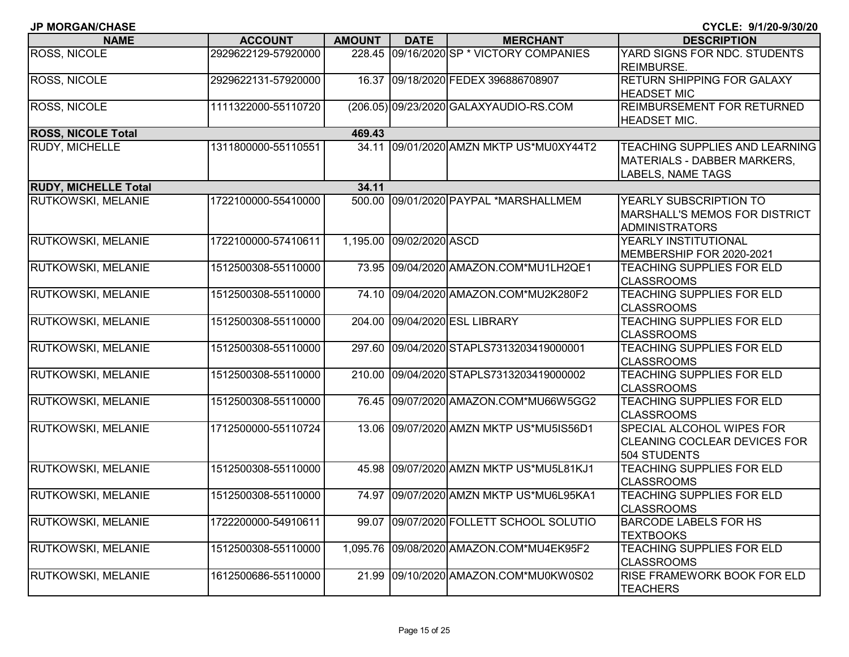| <b>JP MORGAN/CHASE</b>      |                     |               |                          |                                          | CYCLE: 9/1/20-9/30/20                                                                     |
|-----------------------------|---------------------|---------------|--------------------------|------------------------------------------|-------------------------------------------------------------------------------------------|
| <b>NAME</b>                 | <b>ACCOUNT</b>      | <b>AMOUNT</b> | <b>DATE</b>              | <b>MERCHANT</b>                          | <b>DESCRIPTION</b>                                                                        |
| ROSS, NICOLE                | 2929622129-57920000 |               |                          | 228.45 09/16/2020 SP * VICTORY COMPANIES | YARD SIGNS FOR NDC. STUDENTS<br><b>REIMBURSE.</b>                                         |
| ROSS, NICOLE                | 2929622131-57920000 |               |                          | 16.37 09/18/2020 FEDEX 396886708907      | <b>RETURN SHIPPING FOR GALAXY</b><br><b>HEADSET MIC</b>                                   |
| ROSS, NICOLE                | 1111322000-55110720 |               |                          | (206.05) 09/23/2020 GALAXYAUDIO-RS.COM   | <b>REIMBURSEMENT FOR RETURNED</b><br><b>HEADSET MIC.</b>                                  |
| <b>ROSS, NICOLE Total</b>   |                     | 469.43        |                          |                                          |                                                                                           |
| <b>RUDY, MICHELLE</b>       | 1311800000-55110551 |               |                          | 34.11 09/01/2020 AMZN MKTP US*MU0XY44T2  | TEACHING SUPPLIES AND LEARNING<br>MATERIALS - DABBER MARKERS,<br><b>LABELS, NAME TAGS</b> |
| <b>RUDY, MICHELLE Total</b> |                     | 34.11         |                          |                                          |                                                                                           |
| RUTKOWSKI, MELANIE          | 1722100000-55410000 |               |                          | 500.00 09/01/2020 PAYPAL *MARSHALLMEM    | YEARLY SUBSCRIPTION TO<br><b>MARSHALL'S MEMOS FOR DISTRICT</b><br><b>ADMINISTRATORS</b>   |
| RUTKOWSKI, MELANIE          | 1722100000-57410611 |               | 1,195.00 09/02/2020 ASCD |                                          | YEARLY INSTITUTIONAL<br>MEMBERSHIP FOR 2020-2021                                          |
| RUTKOWSKI, MELANIE          | 1512500308-55110000 |               |                          | 73.95 09/04/2020 AMAZON.COM*MU1LH2QE1    | <b>TEACHING SUPPLIES FOR ELD</b><br><b>CLASSROOMS</b>                                     |
| RUTKOWSKI, MELANIE          | 1512500308-55110000 |               |                          | 74.10 09/04/2020 AMAZON.COM*MU2K280F2    | <b>TEACHING SUPPLIES FOR ELD</b><br><b>CLASSROOMS</b>                                     |
| RUTKOWSKI, MELANIE          | 1512500308-55110000 |               |                          | 204.00 09/04/2020 ESL LIBRARY            | <b>TEACHING SUPPLIES FOR ELD</b><br><b>CLASSROOMS</b>                                     |
| RUTKOWSKI, MELANIE          | 1512500308-55110000 |               |                          | 297.60 09/04/2020 STAPLS7313203419000001 | <b>TEACHING SUPPLIES FOR ELD</b><br><b>CLASSROOMS</b>                                     |
| RUTKOWSKI, MELANIE          | 1512500308-55110000 |               |                          | 210.00 09/04/2020 STAPLS7313203419000002 | <b>TEACHING SUPPLIES FOR ELD</b><br><b>CLASSROOMS</b>                                     |
| RUTKOWSKI, MELANIE          | 1512500308-55110000 |               |                          | 76.45 09/07/2020 AMAZON.COM*MU66W5GG2    | <b>TEACHING SUPPLIES FOR ELD</b><br><b>CLASSROOMS</b>                                     |
| RUTKOWSKI, MELANIE          | 1712500000-55110724 |               |                          | 13.06 09/07/2020 AMZN MKTP US*MU5IS56D1  | <b>SPECIAL ALCOHOL WIPES FOR</b><br><b>CLEANING COCLEAR DEVICES FOR</b><br>504 STUDENTS   |
| RUTKOWSKI, MELANIE          | 1512500308-55110000 |               |                          | 45.98 09/07/2020 AMZN MKTP US*MU5L81KJ1  | <b>TEACHING SUPPLIES FOR ELD</b><br><b>CLASSROOMS</b>                                     |
| RUTKOWSKI, MELANIE          | 1512500308-55110000 |               |                          | 74.97 09/07/2020 AMZN MKTP US*MU6L95KA1  | <b>ITEACHING SUPPLIES FOR ELD</b><br><b>CLASSROOMS</b>                                    |
| RUTKOWSKI, MELANIE          | 1722200000-54910611 | 99.07         |                          | 09/07/2020 FOLLETT SCHOOL SOLUTIO        | <b>BARCODE LABELS FOR HS</b><br><b>TEXTBOOKS</b>                                          |
| RUTKOWSKI, MELANIE          | 1512500308-55110000 |               |                          | 1,095.76 09/08/2020 AMAZON.COM*MU4EK95F2 | TEACHING SUPPLIES FOR ELD<br><b>CLASSROOMS</b>                                            |
| RUTKOWSKI, MELANIE          | 1612500686-55110000 |               |                          | 21.99 09/10/2020 AMAZON.COM*MU0KW0S02    | <b>RISE FRAMEWORK BOOK FOR ELD</b><br><b>TEACHERS</b>                                     |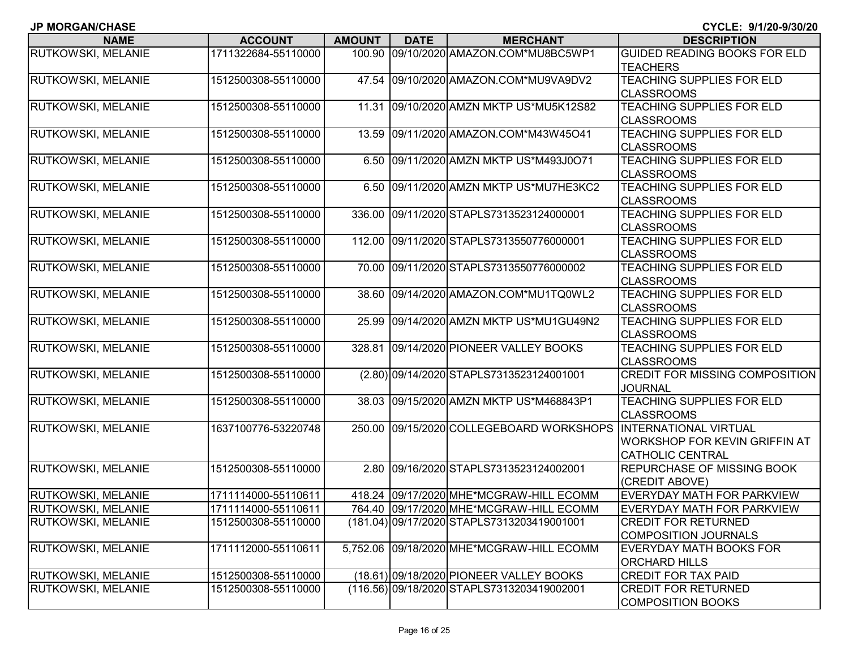|  |  |  |  |  | JP MORGAN/CHASE |
|--|--|--|--|--|-----------------|
|--|--|--|--|--|-----------------|

| <b>NAME</b>               | <b>ACCOUNT</b>      | <b>AMOUNT</b>     | <b>DATE</b> | <b>MERCHANT</b>                            | <b>DESCRIPTION</b>                    |
|---------------------------|---------------------|-------------------|-------------|--------------------------------------------|---------------------------------------|
| <b>RUTKOWSKI, MELANIE</b> | 1711322684-55110000 | 100.90            |             | 09/10/2020 AMAZON.COM*MU8BC5WP1            | <b>GUIDED READING BOOKS FOR ELD</b>   |
|                           |                     |                   |             |                                            | <b>TEACHERS</b>                       |
| <b>RUTKOWSKI, MELANIE</b> | 1512500308-55110000 | 47.54             |             | 09/10/2020 AMAZON.COM*MU9VA9DV2            | TEACHING SUPPLIES FOR ELD             |
|                           |                     |                   |             |                                            | <b>CLASSROOMS</b>                     |
| <b>RUTKOWSKI, MELANIE</b> | 1512500308-55110000 | 11.31             |             | 09/10/2020 AMZN MKTP US*MU5K12S82          | TEACHING SUPPLIES FOR ELD             |
|                           |                     |                   |             |                                            | <b>CLASSROOMS</b>                     |
| RUTKOWSKI, MELANIE        | 1512500308-55110000 | 13.59             |             | 09/11/2020 AMAZON.COM*M43W45O41            | <b>TEACHING SUPPLIES FOR ELD</b>      |
|                           |                     |                   |             |                                            | <b>CLASSROOMS</b>                     |
| RUTKOWSKI, MELANIE        | 1512500308-55110000 |                   |             | 6.50 09/11/2020 AMZN MKTP US*M493J0O71     | <b>TEACHING SUPPLIES FOR ELD</b>      |
|                           |                     |                   |             |                                            | <b>CLASSROOMS</b>                     |
| <b>RUTKOWSKI, MELANIE</b> | 1512500308-55110000 |                   |             | 6.50 09/11/2020 AMZN MKTP US*MU7HE3KC2     | <b>TEACHING SUPPLIES FOR ELD</b>      |
|                           |                     |                   |             |                                            | <b>CLASSROOMS</b>                     |
| <b>RUTKOWSKI, MELANIE</b> | 1512500308-55110000 | 336.00            |             | 09/11/2020 STAPLS7313523124000001          | <b>TEACHING SUPPLIES FOR ELD</b>      |
|                           |                     |                   |             |                                            | <b>CLASSROOMS</b>                     |
| <b>RUTKOWSKI, MELANIE</b> | 1512500308-55110000 | 112.00            |             | 09/11/2020 STAPLS7313550776000001          | TEACHING SUPPLIES FOR ELD             |
|                           |                     |                   |             |                                            | <b>CLASSROOMS</b>                     |
| <b>RUTKOWSKI, MELANIE</b> | 1512500308-55110000 | 70.00             |             | 09/11/2020 STAPLS7313550776000002          | TEACHING SUPPLIES FOR ELD             |
|                           |                     |                   |             |                                            | <b>CLASSROOMS</b>                     |
| <b>RUTKOWSKI, MELANIE</b> | 1512500308-55110000 | 38.60             |             | 09/14/2020 AMAZON.COM*MU1TQ0WL2            | TEACHING SUPPLIES FOR ELD             |
|                           |                     |                   |             |                                            | <b>CLASSROOMS</b>                     |
| RUTKOWSKI, MELANIE        | 1512500308-55110000 | 25.99             |             | 09/14/2020 AMZN MKTP US*MU1GU49N2          | TEACHING SUPPLIES FOR ELD             |
|                           |                     |                   |             |                                            | <b>CLASSROOMS</b>                     |
| <b>RUTKOWSKI, MELANIE</b> | 1512500308-55110000 | 328.81            |             | 09/14/2020 PIONEER VALLEY BOOKS            | <b>TEACHING SUPPLIES FOR ELD</b>      |
|                           |                     |                   |             |                                            | <b>CLASSROOMS</b>                     |
| <b>RUTKOWSKI, MELANIE</b> | 1512500308-55110000 |                   |             | (2.80) 09/14/2020 STAPLS7313523124001001   | <b>CREDIT FOR MISSING COMPOSITION</b> |
|                           |                     |                   |             |                                            | <b>JOURNAL</b>                        |
| <b>RUTKOWSKI, MELANIE</b> | 1512500308-55110000 | 38.03             |             | 09/15/2020 AMZN MKTP US*M468843P1          | TEACHING SUPPLIES FOR ELD             |
|                           |                     |                   |             |                                            | <b>CLASSROOMS</b>                     |
| <b>RUTKOWSKI, MELANIE</b> | 1637100776-53220748 |                   |             | 250.00 09/15/2020 COLLEGEBOARD WORKSHOPS   | <b>INTERNATIONAL VIRTUAL</b>          |
|                           |                     |                   |             |                                            | <b>WORKSHOP FOR KEVIN GRIFFIN AT</b>  |
|                           |                     |                   |             |                                            | <b>CATHOLIC CENTRAL</b>               |
| <b>RUTKOWSKI, MELANIE</b> | 1512500308-55110000 | $\overline{2.80}$ |             | 09/16/2020 STAPLS7313523124002001          | <b>REPURCHASE OF MISSING BOOK</b>     |
|                           |                     |                   |             |                                            | (CREDIT ABOVE)                        |
| <b>RUTKOWSKI, MELANIE</b> | 1711114000-55110611 |                   |             | 418.24 09/17/2020 MHE*MCGRAW-HILL ECOMM    | EVERYDAY MATH FOR PARKVIEW            |
| <b>RUTKOWSKI, MELANIE</b> | 1711114000-55110611 |                   |             | 764.40 09/17/2020 MHE*MCGRAW-HILL ECOMM    | EVERYDAY MATH FOR PARKVIEW            |
| <b>RUTKOWSKI, MELANIE</b> | 1512500308-55110000 |                   |             | (181.04) 09/17/2020 STAPLS7313203419001001 | <b>CREDIT FOR RETURNED</b>            |
|                           |                     |                   |             |                                            | <b>COMPOSITION JOURNALS</b>           |
| <b>RUTKOWSKI, MELANIE</b> | 1711112000-55110611 | 5,752.06          |             | 09/18/2020 MHE*MCGRAW-HILL ECOMM           | EVERYDAY MATH BOOKS FOR               |
|                           |                     |                   |             |                                            | <b>ORCHARD HILLS</b>                  |
| <b>RUTKOWSKI, MELANIE</b> | 1512500308-55110000 |                   |             | (18.61) 09/18/2020 PIONEER VALLEY BOOKS    | <b>CREDIT FOR TAX PAID</b>            |
| <b>RUTKOWSKI, MELANIE</b> | 1512500308-55110000 |                   |             | (116.56) 09/18/2020 STAPLS7313203419002001 | <b>CREDIT FOR RETURNED</b>            |
|                           |                     |                   |             |                                            | <b>COMPOSITION BOOKS</b>              |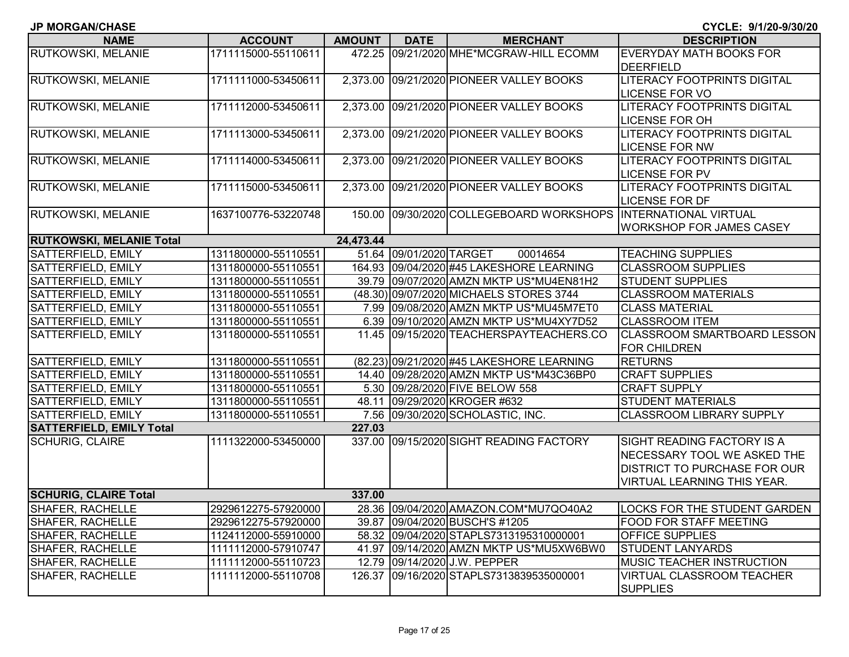| <b>NAME</b>                     | <b>ACCOUNT</b>      | <b>AMOUNT</b> | <b>DATE</b>             | <b>MERCHANT</b>                           | <b>DESCRIPTION</b>                  |
|---------------------------------|---------------------|---------------|-------------------------|-------------------------------------------|-------------------------------------|
| RUTKOWSKI, MELANIE              | 1711115000-55110611 | 472.25        |                         | 09/21/2020 MHE*MCGRAW-HILL ECOMM          | <b>EVERYDAY MATH BOOKS FOR</b>      |
|                                 |                     |               |                         |                                           | <b>DEERFIELD</b>                    |
| RUTKOWSKI, MELANIE              | 1711111000-53450611 | 2,373.00      |                         | 09/21/2020 PIONEER VALLEY BOOKS           | LITERACY FOOTPRINTS DIGITAL         |
|                                 |                     |               |                         |                                           | <b>LICENSE FOR VO</b>               |
| <b>RUTKOWSKI, MELANIE</b>       | 1711112000-53450611 | 2,373.00      |                         | 09/21/2020 PIONEER VALLEY BOOKS           | LITERACY FOOTPRINTS DIGITAL         |
|                                 |                     |               |                         |                                           | <b>LICENSE FOR OH</b>               |
| RUTKOWSKI, MELANIE              | 1711113000-53450611 | 2,373.00      |                         | 09/21/2020 PIONEER VALLEY BOOKS           | <b>LITERACY FOOTPRINTS DIGITAL</b>  |
|                                 |                     |               |                         |                                           | <b>LICENSE FOR NW</b>               |
| RUTKOWSKI, MELANIE              | 1711114000-53450611 | 2,373.00      |                         | 09/21/2020 PIONEER VALLEY BOOKS           | <b>LITERACY FOOTPRINTS DIGITAL</b>  |
|                                 |                     |               |                         |                                           | <b>LICENSE FOR PV</b>               |
| RUTKOWSKI, MELANIE              | 1711115000-53450611 |               |                         | 2,373.00 09/21/2020 PIONEER VALLEY BOOKS  | LITERACY FOOTPRINTS DIGITAL         |
|                                 |                     |               |                         |                                           | <b>LICENSE FOR DF</b>               |
| RUTKOWSKI, MELANIE              | 1637100776-53220748 | 150.00        |                         | 09/30/2020 COLLEGEBOARD WORKSHOPS         | <b>INTERNATIONAL VIRTUAL</b>        |
|                                 |                     |               |                         |                                           | <b>WORKSHOP FOR JAMES CASEY</b>     |
| <b>RUTKOWSKI, MELANIE Total</b> |                     | 24,473.44     |                         |                                           |                                     |
| <b>SATTERFIELD, EMILY</b>       | 1311800000-55110551 |               | 51.64 09/01/2020 TARGET | 00014654                                  | <b>TEACHING SUPPLIES</b>            |
| <b>SATTERFIELD, EMILY</b>       | 1311800000-55110551 |               |                         | 164.93 09/04/2020 #45 LAKESHORE LEARNING  | <b>CLASSROOM SUPPLIES</b>           |
| <b>SATTERFIELD, EMILY</b>       | 1311800000-55110551 |               |                         | 39.79 09/07/2020 AMZN MKTP US*MU4EN81H2   | <b>STUDENT SUPPLIES</b>             |
| SATTERFIELD, EMILY              | 1311800000-55110551 |               |                         | (48.30) 09/07/2020 MICHAELS STORES 3744   | <b>CLASSROOM MATERIALS</b>          |
| SATTERFIELD, EMILY              | 1311800000-55110551 |               |                         | 7.99 09/08/2020 AMZN MKTP US*MU45M7ET0    | <b>CLASS MATERIAL</b>               |
| <b>SATTERFIELD, EMILY</b>       | 1311800000-55110551 |               |                         | 6.39 09/10/2020 AMZN MKTP US*MU4XY7D52    | <b>CLASSROOM ITEM</b>               |
| SATTERFIELD, EMILY              | 1311800000-55110551 |               |                         | 11.45 09/15/2020 TEACHERSPAYTEACHERS.CO   | <b>CLASSROOM SMARTBOARD LESSON</b>  |
|                                 |                     |               |                         |                                           | <b>FOR CHILDREN</b>                 |
| SATTERFIELD, EMILY              | 1311800000-55110551 |               |                         | (82.23) 09/21/2020 #45 LAKESHORE LEARNING | <b>RETURNS</b>                      |
| <b>SATTERFIELD, EMILY</b>       | 1311800000-55110551 |               |                         | 14.40 09/28/2020 AMZN MKTP US*M43C36BP0   | <b>CRAFT SUPPLIES</b>               |
| SATTERFIELD, EMILY              | 1311800000-55110551 |               |                         | 5.30 09/28/2020 FIVE BELOW 558            | <b>CRAFT SUPPLY</b>                 |
| SATTERFIELD, EMILY              | 1311800000-55110551 |               |                         | 48.11 09/29/2020 KROGER #632              | <b>STUDENT MATERIALS</b>            |
| <b>SATTERFIELD, EMILY</b>       | 1311800000-55110551 |               |                         | 7.56 09/30/2020 SCHOLASTIC, INC.          | <b>CLASSROOM LIBRARY SUPPLY</b>     |
| <b>SATTERFIELD, EMILY Total</b> |                     | 227.03        |                         |                                           |                                     |
| <b>SCHURIG, CLAIRE</b>          | 1111322000-53450000 |               |                         | 337.00 09/15/2020 SIGHT READING FACTORY   | SIGHT READING FACTORY IS A          |
|                                 |                     |               |                         |                                           | NECESSARY TOOL WE ASKED THE         |
|                                 |                     |               |                         |                                           | <b>DISTRICT TO PURCHASE FOR OUR</b> |
|                                 |                     |               |                         |                                           | VIRTUAL LEARNING THIS YEAR.         |
| <b>SCHURIG, CLAIRE Total</b>    |                     | 337.00        |                         |                                           |                                     |
| <b>SHAFER, RACHELLE</b>         | 2929612275-57920000 |               |                         | 28.36 09/04/2020 AMAZON.COM*MU7QO40A2     | LOCKS FOR THE STUDENT GARDEN        |
| <b>SHAFER, RACHELLE</b>         | 2929612275-57920000 |               |                         | 39.87 09/04/2020 BUSCH'S #1205            | FOOD FOR STAFF MEETING              |
| <b>SHAFER, RACHELLE</b>         | 1124112000-55910000 |               |                         | 58.32 09/04/2020 STAPLS7313195310000001   | <b>OFFICE SUPPLIES</b>              |
| SHAFER, RACHELLE                | 1111112000-57910747 |               |                         | 41.97 09/14/2020 AMZN MKTP US*MU5XW6BW0   | <b>STUDENT LANYARDS</b>             |
| <b>SHAFER, RACHELLE</b>         | 1111112000-55110723 |               |                         | 12.79 09/14/2020 J.W. PEPPER              | MUSIC TEACHER INSTRUCTION           |
| SHAFER, RACHELLE                | 1111112000-55110708 |               |                         | 126.37 09/16/2020 STAPLS7313839535000001  | <b>VIRTUAL CLASSROOM TEACHER</b>    |
|                                 |                     |               |                         |                                           | <b>SUPPLIES</b>                     |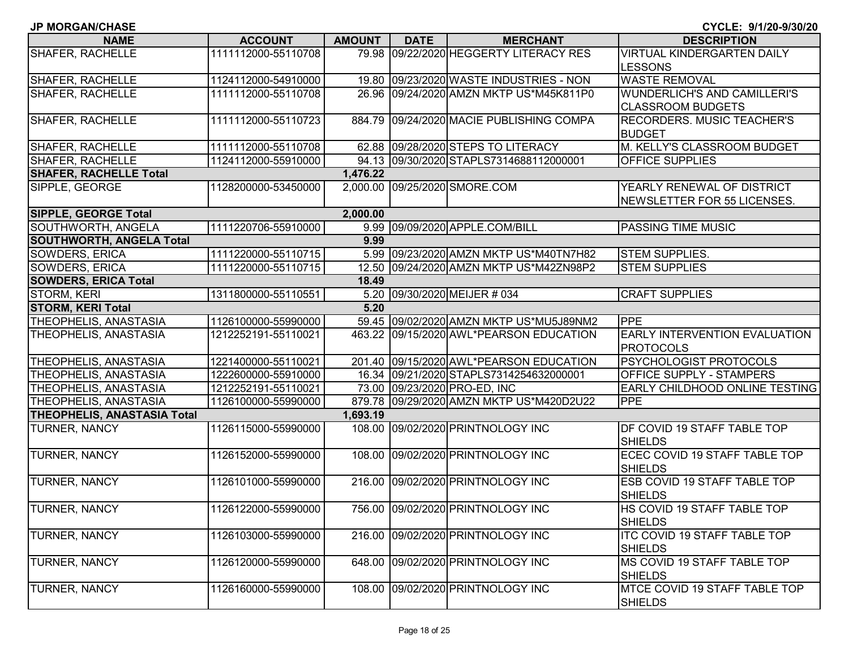| <b>NAME</b>                        | <b>ACCOUNT</b>      | <b>AMOUNT</b> | <b>DATE</b> | <b>MERCHANT</b>                          | <b>DESCRIPTION</b>                                              |
|------------------------------------|---------------------|---------------|-------------|------------------------------------------|-----------------------------------------------------------------|
| SHAFER, RACHELLE                   | 1111112000-55110708 | 79.98         |             | 09/22/2020 HEGGERTY LITERACY RES         | <b>VIRTUAL KINDERGARTEN DAILY</b><br><b>LESSONS</b>             |
| SHAFER, RACHELLE                   | 1124112000-54910000 |               |             | 19.80 09/23/2020 WASTE INDUSTRIES - NON  | <b>WASTE REMOVAL</b>                                            |
| SHAFER, RACHELLE                   | 1111112000-55110708 |               |             | 26.96 09/24/2020 AMZN MKTP US*M45K811P0  | <b>WUNDERLICH'S AND CAMILLERI'S</b><br><b>CLASSROOM BUDGETS</b> |
| SHAFER, RACHELLE                   | 1111112000-55110723 |               |             | 884.79 09/24/2020 MACIE PUBLISHING COMPA | <b>RECORDERS. MUSIC TEACHER'S</b><br><b>BUDGET</b>              |
| SHAFER, RACHELLE                   | 1111112000-55110708 |               |             | 62.88 09/28/2020 STEPS TO LITERACY       | M. KELLY'S CLASSROOM BUDGET                                     |
| <b>SHAFER, RACHELLE</b>            | 1124112000-55910000 |               |             | 94.13 09/30/2020 STAPLS7314688112000001  | <b>OFFICE SUPPLIES</b>                                          |
| <b>SHAFER, RACHELLE Total</b>      |                     | 1,476.22      |             |                                          |                                                                 |
| SIPPLE, GEORGE                     | 1128200000-53450000 |               |             | 2,000.00 09/25/2020 SMORE.COM            | YEARLY RENEWAL OF DISTRICT<br>NEWSLETTER FOR 55 LICENSES.       |
| <b>SIPPLE, GEORGE Total</b>        |                     | 2,000.00      |             |                                          |                                                                 |
| SOUTHWORTH, ANGELA                 | 1111220706-55910000 |               |             | 9.99 09/09/2020 APPLE.COM/BILL           | <b>PASSING TIME MUSIC</b>                                       |
| <b>SOUTHWORTH, ANGELA Total</b>    |                     | 9.99          |             |                                          |                                                                 |
| SOWDERS, ERICA                     | 1111220000-55110715 |               |             | 5.99 09/23/2020 AMZN MKTP US*M40TN7H82   | <b>STEM SUPPLIES.</b>                                           |
| SOWDERS, ERICA                     | 1111220000-55110715 |               |             | 12.50 09/24/2020 AMZN MKTP US*M42ZN98P2  | <b>STEM SUPPLIES</b>                                            |
| <b>SOWDERS, ERICA Total</b>        |                     | 18.49         |             |                                          |                                                                 |
| <b>STORM, KERI</b>                 | 1311800000-55110551 |               |             | 5.20 09/30/2020 MEIJER # 034             | <b>CRAFT SUPPLIES</b>                                           |
| <b>STORM, KERI Total</b>           |                     | 5.20          |             |                                          |                                                                 |
| THEOPHELIS, ANASTASIA              | 1126100000-55990000 |               |             | 59.45 09/02/2020 AMZN MKTP US*MU5J89NM2  | <b>IPPE</b>                                                     |
| THEOPHELIS, ANASTASIA              | 1212252191-55110021 |               |             | 463.22 09/15/2020 AWL*PEARSON EDUCATION  | <b>EARLY INTERVENTION EVALUATION</b><br><b>PROTOCOLS</b>        |
| THEOPHELIS, ANASTASIA              | 1221400000-55110021 |               |             | 201.40 09/15/2020 AWL*PEARSON EDUCATION  | <b>PSYCHOLOGIST PROTOCOLS</b>                                   |
| THEOPHELIS, ANASTASIA              | 1222600000-55910000 |               |             | 16.34 09/21/2020 STAPLS7314254632000001  | <b>OFFICE SUPPLY - STAMPERS</b>                                 |
| THEOPHELIS, ANASTASIA              | 1212252191-55110021 |               |             | 73.00 09/23/2020 PRO-ED, INC             | <b>EARLY CHILDHOOD ONLINE TESTING</b>                           |
| THEOPHELIS, ANASTASIA              | 1126100000-55990000 |               |             | 879.78 09/29/2020 AMZN MKTP US*M420D2U22 | PPE                                                             |
| <b>THEOPHELIS, ANASTASIA Total</b> |                     | 1,693.19      |             |                                          |                                                                 |
| TURNER, NANCY                      | 1126115000-55990000 |               |             | 108.00 09/02/2020 PRINTNOLOGY INC        | <b>IDF COVID 19 STAFF TABLE TOP</b><br><b>SHIELDS</b>           |
| TURNER, NANCY                      | 1126152000-55990000 |               |             | 108.00 09/02/2020 PRINTNOLOGY INC        | ECEC COVID 19 STAFF TABLE TOP<br><b>SHIELDS</b>                 |
| TURNER, NANCY                      | 1126101000-55990000 | 216.00        |             | 09/02/2020 PRINTNOLOGY INC               | <b>ESB COVID 19 STAFF TABLE TOP</b><br><b>SHIELDS</b>           |
| <b>TURNER, NANCY</b>               | 1126122000-55990000 |               |             | 756.00 09/02/2020 PRINTNOLOGY INC        | <b>HS COVID 19 STAFF TABLE TOP</b><br><b>SHIELDS</b>            |
| TURNER, NANCY                      | 1126103000-55990000 | 216.00        |             | 09/02/2020 PRINTNOLOGY INC               | <b>ITC COVID 19 STAFF TABLE TOP</b><br><b>SHIELDS</b>           |
| TURNER, NANCY                      | 1126120000-55990000 | 648.00        |             | 09/02/2020 PRINTNOLOGY INC               | <b>IMS COVID 19 STAFF TABLE TOP</b><br><b>SHIELDS</b>           |
| TURNER, NANCY                      | 1126160000-55990000 |               |             | 108.00 09/02/2020 PRINTNOLOGY INC        | MTCE COVID 19 STAFF TABLE TOP<br><b>SHIELDS</b>                 |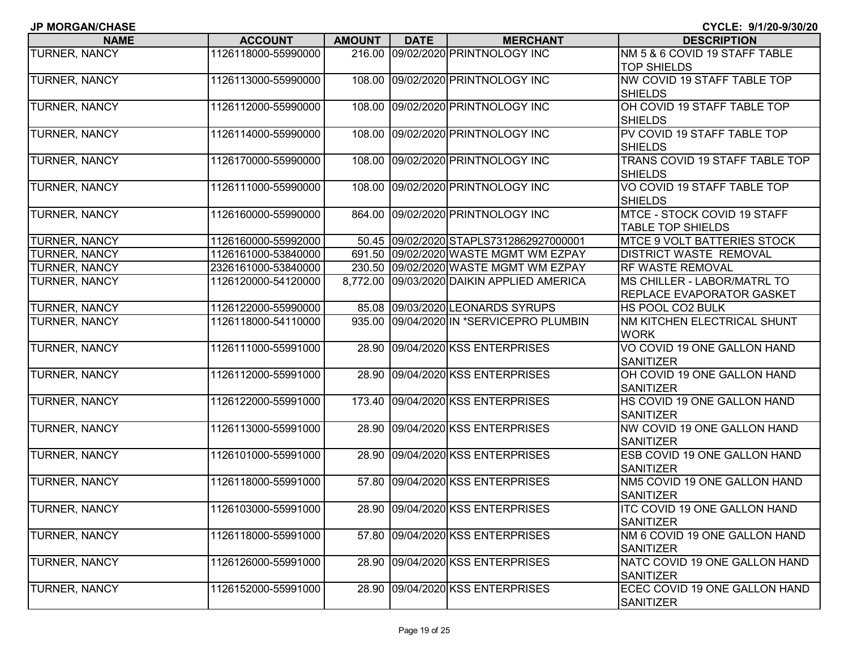| <b>NAME</b>          | <b>ACCOUNT</b>      | <b>AMOUNT</b> | <b>DATE</b> | <b>MERCHANT</b>                            | <b>DESCRIPTION</b>                 |
|----------------------|---------------------|---------------|-------------|--------------------------------------------|------------------------------------|
| TURNER, NANCY        | 1126118000-55990000 |               |             | 216.00 09/02/2020 PRINTNOLOGY INC          | NM 5 & 6 COVID 19 STAFF TABLE      |
|                      |                     |               |             |                                            | <b>TOP SHIELDS</b>                 |
| <b>TURNER, NANCY</b> | 1126113000-55990000 |               |             | 108.00 09/02/2020 PRINTNOLOGY INC          | NW COVID 19 STAFF TABLE TOP        |
|                      |                     |               |             |                                            | <b>SHIELDS</b>                     |
| TURNER, NANCY        | 1126112000-55990000 |               |             | 108.00 09/02/2020 PRINTNOLOGY INC          | OH COVID 19 STAFF TABLE TOP        |
|                      |                     |               |             |                                            | <b>SHIELDS</b>                     |
| <b>TURNER, NANCY</b> | 1126114000-55990000 |               |             | 108.00 09/02/2020 PRINTNOLOGY INC          | PV COVID 19 STAFF TABLE TOP        |
|                      |                     |               |             |                                            | <b>SHIELDS</b>                     |
| TURNER, NANCY        | 1126170000-55990000 |               |             | 108.00 09/02/2020 PRINTNOLOGY INC          | TRANS COVID 19 STAFF TABLE TOP     |
|                      |                     |               |             |                                            | <b>SHIELDS</b>                     |
| TURNER, NANCY        | 1126111000-55990000 |               |             | 108.00 09/02/2020 PRINTNOLOGY INC          | VO COVID 19 STAFF TABLE TOP        |
|                      |                     |               |             |                                            | <b>SHIELDS</b>                     |
| TURNER, NANCY        | 1126160000-55990000 |               |             | 864.00 09/02/2020 PRINTNOLOGY INC          | MTCE - STOCK COVID 19 STAFF        |
|                      |                     |               |             |                                            | <b>TABLE TOP SHIELDS</b>           |
| TURNER, NANCY        | 1126160000-55992000 |               |             | 50.45 09/02/2020 STAPLS7312862927000001    | <b>MTCE 9 VOLT BATTERIES STOCK</b> |
| TURNER, NANCY        | 1126161000-53840000 |               |             | 691.50 09/02/2020 WASTE MGMT WM EZPAY      | <b>DISTRICT WASTE REMOVAL</b>      |
| TURNER, NANCY        | 2326161000-53840000 |               |             | 230.50 09/02/2020 WASTE MGMT WM EZPAY      | <b>RF WASTE REMOVAL</b>            |
| TURNER, NANCY        | 1126120000-54120000 |               |             | 8,772.00 09/03/2020 DAIKIN APPLIED AMERICA | MS CHILLER - LABOR/MATRL TO        |
|                      |                     |               |             |                                            | <b>REPLACE EVAPORATOR GASKET</b>   |
| <b>TURNER, NANCY</b> | 1126122000-55990000 |               |             | 85.08 09/03/2020 LEONARDS SYRUPS           | HS POOL CO2 BULK                   |
| TURNER, NANCY        | 1126118000-54110000 |               |             | 935.00 09/04/2020 IN *SERVICEPRO PLUMBIN   | NM KITCHEN ELECTRICAL SHUNT        |
|                      |                     |               |             |                                            | <b>WORK</b>                        |
| TURNER, NANCY        | 1126111000-55991000 |               |             | 28.90 09/04/2020 KSS ENTERPRISES           | VO COVID 19 ONE GALLON HAND        |
|                      |                     |               |             |                                            | <b>SANITIZER</b>                   |
| TURNER, NANCY        | 1126112000-55991000 |               |             | 28.90 09/04/2020 KSS ENTERPRISES           | OH COVID 19 ONE GALLON HAND        |
|                      |                     |               |             |                                            | <b>SANITIZER</b>                   |
| TURNER, NANCY        | 1126122000-55991000 |               |             | 173.40 09/04/2020 KSS ENTERPRISES          | HS COVID 19 ONE GALLON HAND        |
|                      |                     |               |             |                                            | <b>SANITIZER</b>                   |
| TURNER, NANCY        | 1126113000-55991000 |               |             | 28.90 09/04/2020 KSS ENTERPRISES           | NW COVID 19 ONE GALLON HAND        |
|                      |                     |               |             |                                            | <b>SANITIZER</b>                   |
| TURNER, NANCY        | 1126101000-55991000 |               |             | 28.90 09/04/2020 KSS ENTERPRISES           | ESB COVID 19 ONE GALLON HAND       |
|                      |                     |               |             |                                            | <b>SANITIZER</b>                   |
| TURNER, NANCY        | 1126118000-55991000 |               |             | 57.80 09/04/2020 KSS ENTERPRISES           | NM5 COVID 19 ONE GALLON HAND       |
|                      |                     |               |             |                                            | <b>SANITIZER</b>                   |
| <b>TURNER, NANCY</b> | 1126103000-55991000 |               |             | 28.90 09/04/2020 KSS ENTERPRISES           | ITC COVID 19 ONE GALLON HAND       |
|                      |                     |               |             |                                            | <b>SANITIZER</b>                   |
| TURNER, NANCY        | 1126118000-55991000 |               |             | 57.80 09/04/2020 KSS ENTERPRISES           | NM 6 COVID 19 ONE GALLON HAND      |
|                      |                     |               |             |                                            | <b>SANITIZER</b>                   |
| <b>TURNER, NANCY</b> | 1126126000-55991000 |               |             | 28.90 09/04/2020 KSS ENTERPRISES           | NATC COVID 19 ONE GALLON HAND      |
|                      |                     |               |             |                                            | <b>SANITIZER</b>                   |
| TURNER, NANCY        | 1126152000-55991000 |               |             | 28.90 09/04/2020 KSS ENTERPRISES           | ECEC COVID 19 ONE GALLON HAND      |
|                      |                     |               |             |                                            | <b>SANITIZER</b>                   |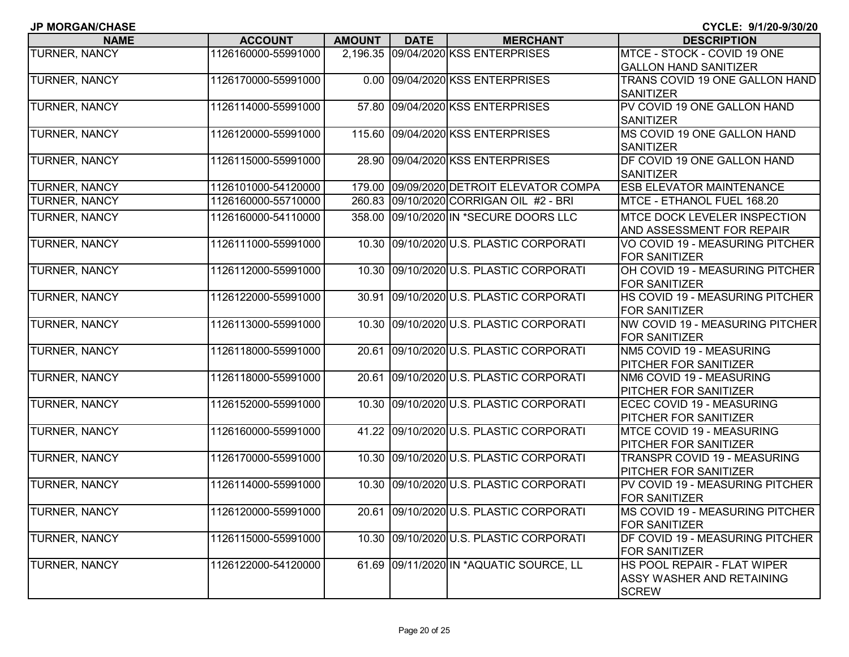| <b>JP MORGAN/CHASE</b> |
|------------------------|
|------------------------|

**CYCLE: 9/1/20-9/30/20**

| <b>NAME</b>          | <b>ACCOUNT</b>      | <b>AMOUNT</b> | <b>DATE</b> | <b>MERCHANT</b>                         | <b>DESCRIPTION</b>               |
|----------------------|---------------------|---------------|-------------|-----------------------------------------|----------------------------------|
| TURNER, NANCY        | 1126160000-55991000 | 2,196.35      |             | 09/04/2020 KSS ENTERPRISES              | MTCE - STOCK - COVID 19 ONE      |
|                      |                     |               |             |                                         | <b>GALLON HAND SANITIZER</b>     |
| TURNER, NANCY        | 1126170000-55991000 | 0.00          |             | 09/04/2020 KSS ENTERPRISES              | TRANS COVID 19 ONE GALLON HAND   |
|                      |                     |               |             |                                         | <b>SANITIZER</b>                 |
| TURNER, NANCY        | 1126114000-55991000 | 57.80         |             | 09/04/2020 KSS ENTERPRISES              | PV COVID 19 ONE GALLON HAND      |
|                      |                     |               |             |                                         | <b>SANITIZER</b>                 |
| <b>TURNER, NANCY</b> | 1126120000-55991000 | 115.60        |             | 09/04/2020 KSS ENTERPRISES              | MS COVID 19 ONE GALLON HAND      |
|                      |                     |               |             |                                         | <b>SANITIZER</b>                 |
| TURNER, NANCY        | 1126115000-55991000 | 28.90         |             | 09/04/2020 KSS ENTERPRISES              | DF COVID 19 ONE GALLON HAND      |
|                      |                     |               |             |                                         | <b>SANITIZER</b>                 |
| TURNER, NANCY        | 1126101000-54120000 | 179.00        |             | 09/09/2020 DETROIT ELEVATOR COMPA       | <b>ESB ELEVATOR MAINTENANCE</b>  |
| TURNER, NANCY        | 1126160000-55710000 | 260.83        |             | 09/10/2020 CORRIGAN OIL #2 - BRI        | MTCE - ETHANOL FUEL 168.20       |
| TURNER, NANCY        | 1126160000-54110000 | 358.00        |             | 09/10/2020 IN *SECURE DOORS LLC         | MTCE DOCK LEVELER INSPECTION     |
|                      |                     |               |             |                                         | AND ASSESSMENT FOR REPAIR        |
| TURNER, NANCY        | 1126111000-55991000 | 10.30         |             | 09/10/2020 U.S. PLASTIC CORPORATI       | VO COVID 19 - MEASURING PITCHER  |
|                      |                     |               |             |                                         | <b>FOR SANITIZER</b>             |
| TURNER, NANCY        | 1126112000-55991000 | 10.30         |             | 09/10/2020 U.S. PLASTIC CORPORATI       | OH COVID 19 - MEASURING PITCHER  |
|                      |                     |               |             |                                         | <b>FOR SANITIZER</b>             |
| TURNER, NANCY        | 1126122000-55991000 | 30.91         |             | 09/10/2020 U.S. PLASTIC CORPORATI       | HS COVID 19 - MEASURING PITCHER  |
|                      |                     |               |             |                                         | <b>FOR SANITIZER</b>             |
| TURNER, NANCY        | 1126113000-55991000 | 10.30         |             | 09/10/2020 U.S. PLASTIC CORPORATI       | NW COVID 19 - MEASURING PITCHER  |
|                      |                     |               |             |                                         | <b>FOR SANITIZER</b>             |
| TURNER, NANCY        | 1126118000-55991000 | 20.61         |             | 09/10/2020 U.S. PLASTIC CORPORATI       | NM5 COVID 19 - MEASURING         |
|                      |                     |               |             |                                         | <b>PITCHER FOR SANITIZER</b>     |
| <b>TURNER, NANCY</b> | 1126118000-55991000 |               |             | 20.61 09/10/2020 U.S. PLASTIC CORPORATI | NM6 COVID 19 - MEASURING         |
|                      |                     |               |             |                                         | PITCHER FOR SANITIZER            |
| TURNER, NANCY        | 1126152000-55991000 | 10.30         |             | 09/10/2020 U.S. PLASTIC CORPORATI       | ECEC COVID 19 - MEASURING        |
|                      |                     |               |             |                                         | <b>PITCHER FOR SANITIZER</b>     |
| TURNER, NANCY        | 1126160000-55991000 | 41.22         |             | 09/10/2020 U.S. PLASTIC CORPORATI       | MTCE COVID 19 - MEASURING        |
|                      |                     |               |             |                                         | PITCHER FOR SANITIZER            |
| TURNER, NANCY        | 1126170000-55991000 | 10.30         |             | 09/10/2020 U.S. PLASTIC CORPORATI       | TRANSPR COVID 19 - MEASURING     |
|                      |                     |               |             |                                         | PITCHER FOR SANITIZER            |
| TURNER, NANCY        | 1126114000-55991000 | 10.30         |             | 09/10/2020 U.S. PLASTIC CORPORATI       | PV COVID 19 - MEASURING PITCHER  |
|                      |                     |               |             |                                         | <b>FOR SANITIZER</b>             |
| <b>TURNER, NANCY</b> | 1126120000-55991000 |               |             | 20.61 09/10/2020 U.S. PLASTIC CORPORATI | MS COVID 19 - MEASURING PITCHER  |
|                      |                     |               |             |                                         | <b>FOR SANITIZER</b>             |
| TURNER, NANCY        | 1126115000-55991000 |               |             | 10.30 09/10/2020 U.S. PLASTIC CORPORATI | DF COVID 19 - MEASURING PITCHER  |
|                      |                     |               |             |                                         | <b>FOR SANITIZER</b>             |
| TURNER, NANCY        | 1126122000-54120000 |               |             | 61.69 09/11/2020 IN *AQUATIC SOURCE, LL | HS POOL REPAIR - FLAT WIPER      |
|                      |                     |               |             |                                         | <b>ASSY WASHER AND RETAINING</b> |
|                      |                     |               |             |                                         | <b>SCREW</b>                     |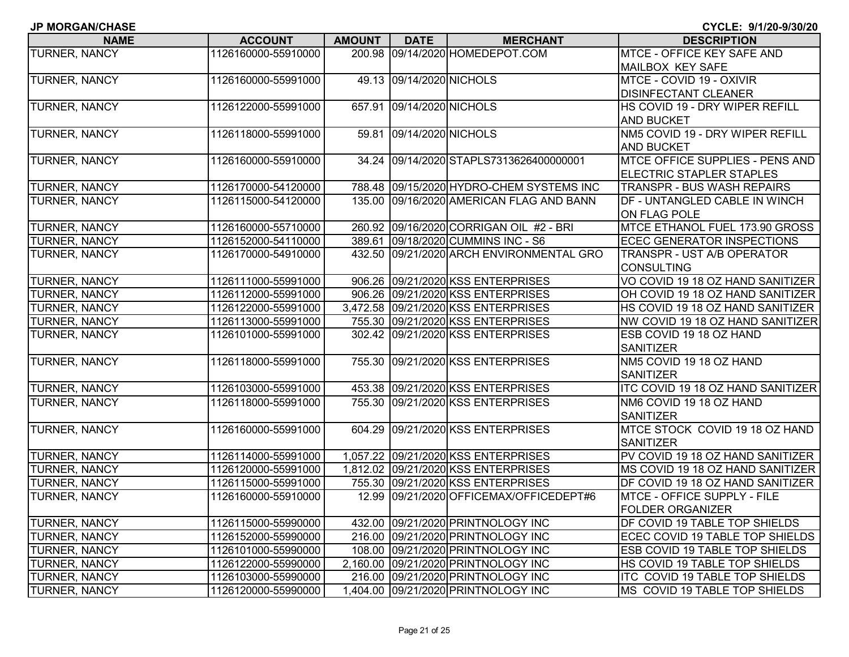| <b>JP MORGAN/CHASE</b> |  |
|------------------------|--|
|------------------------|--|

| <b>NAME</b>          | <b>ACCOUNT</b>      | <b>AMOUNT</b> | <b>DATE</b>              | <b>MERCHANT</b>                          | <b>DESCRIPTION</b>                   |
|----------------------|---------------------|---------------|--------------------------|------------------------------------------|--------------------------------------|
| TURNER, NANCY        | 1126160000-55910000 | 200.98        |                          | 09/14/2020 HOMEDEPOT.COM                 | MTCE - OFFICE KEY SAFE AND           |
|                      |                     |               |                          |                                          | MAILBOX KEY SAFE                     |
| <b>TURNER, NANCY</b> | 1126160000-55991000 |               | 49.13 09/14/2020 NICHOLS |                                          | MTCE - COVID 19 - OXIVIR             |
|                      |                     |               |                          |                                          | <b>DISINFECTANT CLEANER</b>          |
| TURNER, NANCY        | 1126122000-55991000 | 657.91        | 09/14/2020 NICHOLS       |                                          | HS COVID 19 - DRY WIPER REFILL       |
|                      |                     |               |                          |                                          | <b>AND BUCKET</b>                    |
| <b>TURNER, NANCY</b> | 1126118000-55991000 |               | 59.81 09/14/2020 NICHOLS |                                          | NM5 COVID 19 - DRY WIPER REFILL      |
|                      |                     |               |                          |                                          | <b>AND BUCKET</b>                    |
| TURNER, NANCY        | 1126160000-55910000 |               |                          | 34.24 09/14/2020 STAPLS7313626400000001  | MTCE OFFICE SUPPLIES - PENS AND      |
|                      |                     |               |                          |                                          | ELECTRIC STAPLER STAPLES             |
| TURNER, NANCY        | 1126170000-54120000 |               |                          | 788.48 09/15/2020 HYDRO-CHEM SYSTEMS INC | <b>TRANSPR - BUS WASH REPAIRS</b>    |
| TURNER, NANCY        | 1126115000-54120000 | 135.00        |                          | 09/16/2020 AMERICAN FLAG AND BANN        | DF - UNTANGLED CABLE IN WINCH        |
|                      |                     |               |                          |                                          | ON FLAG POLE                         |
| TURNER, NANCY        | 1126160000-55710000 |               |                          | 260.92 09/16/2020 CORRIGAN OIL #2 - BRI  | MTCE ETHANOL FUEL 173.90 GROSS       |
| TURNER, NANCY        | 1126152000-54110000 |               |                          | 389.61 09/18/2020 CUMMINS INC - S6       | <b>ECEC GENERATOR INSPECTIONS</b>    |
| TURNER, NANCY        | 1126170000-54910000 |               |                          | 432.50 09/21/2020 ARCH ENVIRONMENTAL GRO | TRANSPR - UST A/B OPERATOR           |
|                      |                     |               |                          |                                          | <b>CONSULTING</b>                    |
| <b>TURNER, NANCY</b> | 1126111000-55991000 |               |                          | 906.26 09/21/2020 KSS ENTERPRISES        | VO COVID 19 18 OZ HAND SANITIZER     |
| TURNER, NANCY        | 1126112000-55991000 |               |                          | 906.26 09/21/2020 KSS ENTERPRISES        | OH COVID 19 18 OZ HAND SANITIZER     |
| <b>TURNER, NANCY</b> | 1126122000-55991000 |               |                          | 3,472.58 09/21/2020 KSS ENTERPRISES      | HS COVID 19 18 OZ HAND SANITIZER     |
| TURNER, NANCY        | 1126113000-55991000 |               |                          | 755.30 09/21/2020 KSS ENTERPRISES        | NW COVID 19 18 OZ HAND SANITIZER     |
| TURNER, NANCY        | 1126101000-55991000 |               |                          | 302.42 09/21/2020 KSS ENTERPRISES        | ESB COVID 19 18 OZ HAND              |
|                      |                     |               |                          |                                          | <b>SANITIZER</b>                     |
| TURNER, NANCY        | 1126118000-55991000 | 755.30        |                          | 09/21/2020 KSS ENTERPRISES               | NM5 COVID 19 18 OZ HAND              |
|                      |                     |               |                          |                                          | <b>SANITIZER</b>                     |
| TURNER, NANCY        | 1126103000-55991000 |               |                          | 453.38 09/21/2020 KSS ENTERPRISES        | ITC COVID 19 18 OZ HAND SANITIZER    |
| TURNER, NANCY        | 1126118000-55991000 | 755.30        |                          | 09/21/2020 KSS ENTERPRISES               | NM6 COVID 19 18 OZ HAND              |
|                      |                     |               |                          |                                          | <b>SANITIZER</b>                     |
| TURNER, NANCY        | 1126160000-55991000 | 604.29        |                          | 09/21/2020 KSS ENTERPRISES               | MTCE STOCK COVID 19 18 OZ HAND       |
|                      |                     |               |                          |                                          | <b>SANITIZER</b>                     |
| TURNER, NANCY        | 1126114000-55991000 |               |                          | 1,057.22 09/21/2020 KSS ENTERPRISES      | PV COVID 19 18 OZ HAND SANITIZER     |
| TURNER, NANCY        | 1126120000-55991000 |               |                          | 1,812.02 09/21/2020 KSS ENTERPRISES      | MS COVID 19 18 OZ HAND SANITIZER     |
| TURNER, NANCY        | 1126115000-55991000 |               |                          | 755.30 09/21/2020 KSS ENTERPRISES        | DF COVID 19 18 OZ HAND SANITIZER     |
| TURNER, NANCY        | 1126160000-55910000 | 12.99         |                          | 09/21/2020 OFFICEMAX/OFFICEDEPT#6        | MTCE - OFFICE SUPPLY - FILE          |
|                      |                     |               |                          |                                          | <b>FOLDER ORGANIZER</b>              |
| TURNER, NANCY        | 1126115000-55990000 |               |                          | 432.00 09/21/2020 PRINTNOLOGY INC        | <b>DF COVID 19 TABLE TOP SHIELDS</b> |
| TURNER, NANCY        | 1126152000-55990000 |               |                          | 216.00 09/21/2020 PRINTNOLOGY INC        | ECEC COVID 19 TABLE TOP SHIELDS      |
| TURNER, NANCY        | 1126101000-55990000 |               |                          | 108.00 09/21/2020 PRINTNOLOGY INC        | ESB COVID 19 TABLE TOP SHIELDS       |
| TURNER, NANCY        | 1126122000-55990000 |               |                          | 2,160.00 09/21/2020 PRINTNOLOGY INC      | HS COVID 19 TABLE TOP SHIELDS        |
| TURNER, NANCY        | 1126103000-55990000 |               |                          | 216.00 09/21/2020 PRINTNOLOGY INC        | ITC COVID 19 TABLE TOP SHIELDS       |
| <b>TURNER, NANCY</b> | 1126120000-55990000 |               |                          | 1,404.00 09/21/2020 PRINTNOLOGY INC      | MS COVID 19 TABLE TOP SHIELDS        |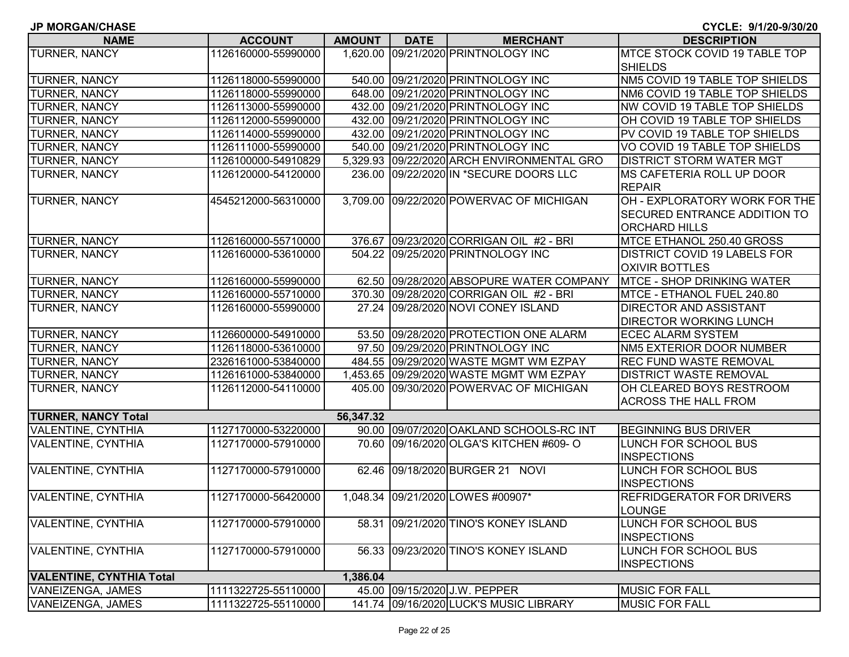**NAME ACCOUNT AMOUNT DATE MERCHANT DESCRIPTION**TURNER, NANCY 1126160000-55990000 1,620.00 09/21/2020 PRINTNOLOGY INC MTCE STOCK COVID 19 TABLE TOP **SHIELDS** TURNER, NANCY 1126118000-55990000 540.00 09/21/2020 PRINTNOLOGY INC NM5 COVID 19 TABLE TOP SHIELDS TURNER, NANCY 1126118000-55990000 648.00 09/21/2020 PRINTNOLOGY INC NM6 COVID 19 TABLE TOP SHIELDS TURNER, NANCY 1126113000-55990000 432.00 09/21/2020 PRINTNOLOGY INC NW COVID 19 TABLE TOP SHIELDS TURNER, NANCY 1126112000-55990000 432.00 09/21/2020 PRINTNOLOGY INC OH COVID 19 TABLE TOP SHIELDS TURNER, NANCY 1126114000-55990000 432.00 09/21/2020 PRINTNOLOGY INC PV COVID 19 TABLE TOP SHIELDS TURNER, NANCY 1126111000-55990000 540.00 09/21/2020 PRINTNOLOGY INC VO COVID 19 TABLE TOP SHIELDS TURNER, NANCY 1126100000-54910829 5,329.93 09/22/2020 ARCH ENVIRONMENTAL GRO DISTRICT STORM WATER MGT TURNER, NANCY 1126120000-54120000 236.00 09/22/2020 IN \*SECURE DOORS LLC MS CAFETERIA ROLL UP DOOR REPAIRTURNER, NANCY 4545212000-56310000 3,709.00 09/22/2020 POWERVAC OF MICHIGAN OH - EXPLORATORY WORK FOR THE SECURED ENTRANCE ADDITION TO ORCHARD HILLSTURNER, NANCY 1126160000-55710000 376.67 09/23/2020 CORRIGAN OIL #2 - BRI MTCE ETHANOL 250.40 GROSS TURNER, NANCY 1126160000-53610000 504.22 09/25/2020 PRINTNOLOGY INC DISTRICT COVID 19 LABELS FOR OXIVIR BOTTLESTURNER, NANCY 1126160000-55990000 62.50 09/28/2020 ABSOPURE WATER COMPANY MTCE - SHOP DRINKING WATER TURNER, NANCY 1126160000-55710000 370.30 09/28/2020 CORRIGAN OIL #2 - BRI MTCE - ETHANOL FUEL 240.80 TURNER, NANCY 1126160000-55990000 27.24 09/28/2020 NOVI CONEY ISLAND DIRECTOR AND ASSISTANT DIRECTOR WORKING LUNCHTURNER, NANCY 1126600000-54910000 53.50 09/28/2020 PROTECTION ONE ALARM ECEC ALARM SYSTEM TURNER, NANCY 1126118000-53610000 97.50 09/29/2020 PRINTNOLOGY INC NM5 EXTERIOR DOOR NUMBER TURNER, NANCY 2326161000-53840000 484.55 09/29/2020 WASTE MGMT WM EZPAY REC FUND WASTE REMOVAL TURNER, NANCY 1126161000-53840000 1,453.65 09/29/2020 WASTE MGMT WM EZPAY DISTRICT WASTE REMOVAL TURNER, NANCY 1126112000-54110000 405.00 09/30/2020 POWERVAC OF MICHIGAN OH CLEARED BOYS RESTROOM ACROSS THE HALL FROM **TURNER, NANCY Total 56,347.32** VALENTINE, CYNTHIA 1127170000-53220000 90.00 09/07/2020 OAKLAND SCHOOLS-RC INT BEGINNING BUS DRIVER VALENTINE, CYNTHIA 1127170000-57910000 70.60 09/16/2020 OLGA'S KITCHEN #609- O LUNCH FOR SCHOOL BUS **INSPECTIONS** VALENTINE, CYNTHIA 1127170000-57910000 62.46 09/18/2020 BURGER 21 NOVI LUNCH FOR SCHOOL BUS **INSPECTIONS** VALENTINE, CYNTHIA 1127170000-56420000 | 1,048.34 09/21/2020 LOWES #00907\* REFRIDGERATOR FOR DRIVERS LOUNGEVALENTINE, CYNTHIA 1127170000-57910000 58.31 09/21/2020 TINO'S KONEY ISLAND LUNCH FOR SCHOOL BUS INSPECTIONSVALENTINE, CYNTHIA 1127170000-57910000 56.33 09/23/2020 TINO'S KONEY ISLAND LUNCH FOR SCHOOL BUS **INSPECTIONS VALENTINE, CYNTHIA Total 1,386.04** VANEIZENGA, JAMES 1111322725-55110000 45.00 09/15/2020 J.W. PEPPER MUSIC FOR FALL VANEIZENGA, JAMES 1111322725-55110000 141.74 09/16/2020 LUCK'S MUSIC LIBRARY MUSIC FOR FALL

**CYCLE: 9/1/20-9/30/20**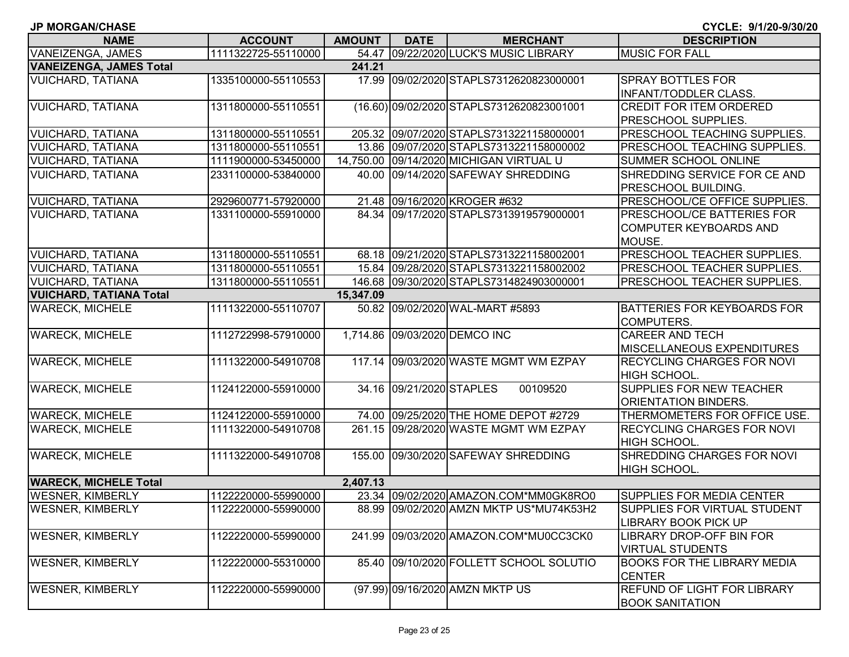| <b>JP MORGAN/CHASE</b>         |                     |               |                          |                                           | CYCLE: 9/1/20-9/30/20              |
|--------------------------------|---------------------|---------------|--------------------------|-------------------------------------------|------------------------------------|
| <b>NAME</b>                    | <b>ACCOUNT</b>      | <b>AMOUNT</b> | <b>DATE</b>              | <b>MERCHANT</b>                           | <b>DESCRIPTION</b>                 |
| VANEIZENGA, JAMES              | 1111322725-55110000 |               |                          | 54.47 09/22/2020 LUCK'S MUSIC LIBRARY     | <b>MUSIC FOR FALL</b>              |
| <b>VANEIZENGA, JAMES Total</b> |                     | 241.21        |                          |                                           |                                    |
| <b>VUICHARD, TATIANA</b>       | 1335100000-55110553 |               |                          | 17.99 09/02/2020 STAPLS7312620823000001   | <b>SPRAY BOTTLES FOR</b>           |
|                                |                     |               |                          |                                           | <b>INFANT/TODDLER CLASS.</b>       |
| <b>VUICHARD, TATIANA</b>       | 1311800000-55110551 |               |                          | (16.60) 09/02/2020 STAPLS7312620823001001 | <b>CREDIT FOR ITEM ORDERED</b>     |
|                                |                     |               |                          |                                           | PRESCHOOL SUPPLIES.                |
| <b>VUICHARD, TATIANA</b>       | 1311800000-55110551 |               |                          | 205.32 09/07/2020 STAPLS7313221158000001  | PRESCHOOL TEACHING SUPPLIES.       |
| <b>VUICHARD, TATIANA</b>       | 1311800000-55110551 |               |                          | 13.86 09/07/2020 STAPLS7313221158000002   | PRESCHOOL TEACHING SUPPLIES.       |
| <b>VUICHARD, TATIANA</b>       | 1111900000-53450000 |               |                          | 14,750.00 09/14/2020 MICHIGAN VIRTUAL U   | SUMMER SCHOOL ONLINE               |
| <b>VUICHARD, TATIANA</b>       | 2331100000-53840000 |               |                          | 40.00 09/14/2020 SAFEWAY SHREDDING        | SHREDDING SERVICE FOR CE AND       |
|                                |                     |               |                          |                                           | PRESCHOOL BUILDING.                |
| <b>VUICHARD, TATIANA</b>       | 2929600771-57920000 |               |                          | 21.48 09/16/2020 KROGER #632              | PRESCHOOL/CE OFFICE SUPPLIES.      |
| <b>VUICHARD, TATIANA</b>       | 1331100000-55910000 |               |                          | 84.34 09/17/2020 STAPLS7313919579000001   | PRESCHOOL/CE BATTERIES FOR         |
|                                |                     |               |                          |                                           | <b>COMPUTER KEYBOARDS AND</b>      |
|                                |                     |               |                          |                                           | MOUSE.                             |
| <b>VUICHARD, TATIANA</b>       | 1311800000-55110551 |               |                          | 68.18 09/21/2020 STAPLS7313221158002001   | PRESCHOOL TEACHER SUPPLIES.        |
| <b>VUICHARD, TATIANA</b>       | 1311800000-55110551 |               |                          | 15.84 09/28/2020 STAPLS7313221158002002   | PRESCHOOL TEACHER SUPPLIES.        |
| <b>VUICHARD, TATIANA</b>       | 1311800000-55110551 |               |                          | 146.68 09/30/2020 STAPLS7314824903000001  | <b>PRESCHOOL TEACHER SUPPLIES.</b> |
| <b>VUICHARD, TATIANA Total</b> |                     | 15,347.09     |                          |                                           |                                    |
| <b>WARECK, MICHELE</b>         | 1111322000-55110707 |               |                          | 50.82 09/02/2020 WAL-MART #5893           | <b>BATTERIES FOR KEYBOARDS FOR</b> |
|                                |                     |               |                          |                                           | <b>COMPUTERS.</b>                  |
| <b>WARECK, MICHELE</b>         | 1112722998-57910000 |               |                          | 1,714.86 09/03/2020 DEMCO INC             | <b>CAREER AND TECH</b>             |
|                                |                     |               |                          |                                           | MISCELLANEOUS EXPENDITURES         |
| <b>WARECK, MICHELE</b>         | 1111322000-54910708 |               |                          | 117.14 09/03/2020 WASTE MGMT WM EZPAY     | <b>RECYCLING CHARGES FOR NOVI</b>  |
|                                |                     |               |                          |                                           | HIGH SCHOOL.                       |
| <b>WARECK, MICHELE</b>         | 1124122000-55910000 |               | 34.16 09/21/2020 STAPLES | 00109520                                  | <b>SUPPLIES FOR NEW TEACHER</b>    |
|                                |                     |               |                          |                                           | ORIENTATION BINDERS.               |
| <b>WARECK, MICHELE</b>         | 1124122000-55910000 |               |                          | 74.00 09/25/2020 THE HOME DEPOT #2729     | THERMOMETERS FOR OFFICE USE.       |
| <b>WARECK, MICHELE</b>         | 1111322000-54910708 |               |                          | 261.15 09/28/2020 WASTE MGMT WM EZPAY     | <b>RECYCLING CHARGES FOR NOVI</b>  |
|                                |                     |               |                          |                                           | HIGH SCHOOL.                       |
| <b>WARECK, MICHELE</b>         | 1111322000-54910708 |               |                          | 155.00 09/30/2020 SAFEWAY SHREDDING       | SHREDDING CHARGES FOR NOVI         |
|                                |                     |               |                          |                                           | <b>HIGH SCHOOL.</b>                |
| <b>WARECK, MICHELE Total</b>   |                     | 2,407.13      |                          |                                           |                                    |
| <b>WESNER, KIMBERLY</b>        | 1122220000-55990000 |               |                          | 23.34 09/02/2020 AMAZON.COM*MM0GK8RO0     | SUPPLIES FOR MEDIA CENTER          |
| <b>WESNER, KIMBERLY</b>        | 1122220000-55990000 |               |                          | 88.99 09/02/2020 AMZN MKTP US*MU74K53H2   | SUPPLIES FOR VIRTUAL STUDENT       |
|                                |                     |               |                          |                                           | LIBRARY BOOK PICK UP               |
| <b>WESNER, KIMBERLY</b>        | 1122220000-55990000 |               |                          | 241.99 09/03/2020 AMAZON.COM*MU0CC3CK0    | LIBRARY DROP-OFF BIN FOR           |
|                                |                     |               |                          |                                           | <b>VIRTUAL STUDENTS</b>            |
| <b>WESNER, KIMBERLY</b>        | 1122220000-55310000 |               |                          | 85.40 09/10/2020 FOLLETT SCHOOL SOLUTIO   | <b>BOOKS FOR THE LIBRARY MEDIA</b> |
|                                |                     |               |                          |                                           | <b>CENTER</b>                      |
| <b>WESNER, KIMBERLY</b>        | 1122220000-55990000 |               |                          | (97.99) 09/16/2020 AMZN MKTP US           | <b>REFUND OF LIGHT FOR LIBRARY</b> |
|                                |                     |               |                          |                                           | <b>BOOK SANITATION</b>             |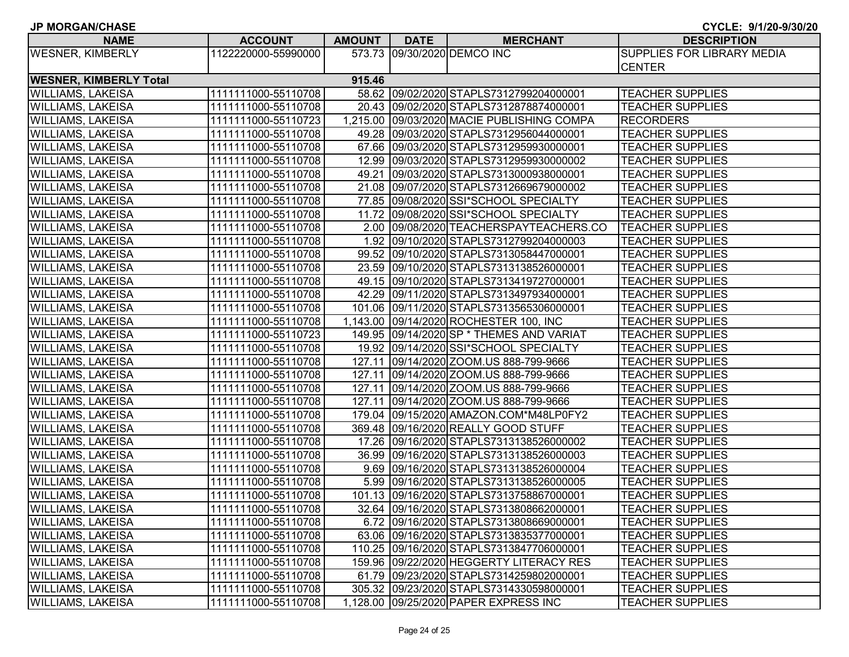| <b>NAME</b>                   | <b>ACCOUNT</b>      | AMOUNT | <b>DATE</b> | <b>MERCHANT</b>                            | <b>DESCRIPTION</b>                |
|-------------------------------|---------------------|--------|-------------|--------------------------------------------|-----------------------------------|
| <b>WESNER, KIMBERLY</b>       | 1122220000-55990000 |        |             | 573.73 09/30/2020 DEMCO INC                | <b>SUPPLIES FOR LIBRARY MEDIA</b> |
|                               |                     |        |             |                                            | <b>CENTER</b>                     |
| <b>WESNER, KIMBERLY Total</b> |                     | 915.46 |             |                                            |                                   |
| <b>WILLIAMS, LAKEISA</b>      | 1111111000-55110708 |        |             | 58.62 09/02/2020 STAPLS7312799204000001    | <b>TEACHER SUPPLIES</b>           |
| <b>WILLIAMS, LAKEISA</b>      | 1111111000-55110708 |        |             | 20.43 09/02/2020 STAPLS7312878874000001    | <b>TEACHER SUPPLIES</b>           |
| <b>WILLIAMS, LAKEISA</b>      | 1111111000-55110723 |        |             | 1,215.00 09/03/2020 MACIE PUBLISHING COMPA | <b>RECORDERS</b>                  |
| <b>WILLIAMS, LAKEISA</b>      | 1111111000-55110708 |        |             | 49.28 09/03/2020 STAPLS7312956044000001    | <b>TEACHER SUPPLIES</b>           |
| <b>WILLIAMS, LAKEISA</b>      | 1111111000-55110708 |        |             | 67.66 09/03/2020 STAPLS7312959930000001    | <b>TEACHER SUPPLIES</b>           |
| <b>WILLIAMS, LAKEISA</b>      | 1111111000-55110708 |        |             | 12.99 09/03/2020 STAPLS7312959930000002    | <b>TEACHER SUPPLIES</b>           |
| <b>WILLIAMS, LAKEISA</b>      | 1111111000-55110708 |        |             | 49.21 09/03/2020 STAPLS7313000938000001    | <b>TEACHER SUPPLIES</b>           |
| <b>WILLIAMS, LAKEISA</b>      | 1111111000-55110708 |        |             | 21.08 09/07/2020 STAPLS7312669679000002    | <b>TEACHER SUPPLIES</b>           |
| <b>WILLIAMS, LAKEISA</b>      | 1111111000-55110708 |        |             | 77.85 09/08/2020 SSI*SCHOOL SPECIALTY      | <b>TEACHER SUPPLIES</b>           |
| <b>WILLIAMS, LAKEISA</b>      | 1111111000-55110708 |        |             | 11.72 09/08/2020 SSI*SCHOOL SPECIALTY      | <b>TEACHER SUPPLIES</b>           |
| <b>WILLIAMS, LAKEISA</b>      | 1111111000-55110708 |        |             | 2.00 09/08/2020 TEACHERSPAYTEACHERS.CO     | <b>TEACHER SUPPLIES</b>           |
| <b>WILLIAMS, LAKEISA</b>      | 1111111000-55110708 |        |             | 1.92 09/10/2020 STAPLS7312799204000003     | <b>TEACHER SUPPLIES</b>           |
| <b>WILLIAMS, LAKEISA</b>      | 1111111000-55110708 |        |             | 99.52 09/10/2020 STAPLS7313058447000001    | <b>TEACHER SUPPLIES</b>           |
| <b>WILLIAMS, LAKEISA</b>      | 1111111000-55110708 |        |             | 23.59 09/10/2020 STAPLS7313138526000001    | <b>TEACHER SUPPLIES</b>           |
| <b>WILLIAMS, LAKEISA</b>      | 1111111000-55110708 |        |             | 49.15 09/10/2020 STAPLS7313419727000001    | <b>TEACHER SUPPLIES</b>           |
| <b>WILLIAMS, LAKEISA</b>      | 1111111000-55110708 |        |             | 42.29 09/11/2020 STAPLS7313497934000001    | <b>TEACHER SUPPLIES</b>           |
| <b>WILLIAMS, LAKEISA</b>      | 1111111000-55110708 |        |             | 101.06 09/11/2020 STAPLS7313565306000001   | <b>TEACHER SUPPLIES</b>           |
| <b>WILLIAMS, LAKEISA</b>      | 1111111000-55110708 |        |             | 1,143.00 09/14/2020 ROCHESTER 100, INC     | <b>TEACHER SUPPLIES</b>           |
| <b>WILLIAMS, LAKEISA</b>      | 1111111000-55110723 |        |             | 149.95 09/14/2020 SP * THEMES AND VARIAT   | <b>TEACHER SUPPLIES</b>           |
| <b>WILLIAMS, LAKEISA</b>      | 1111111000-55110708 |        |             | 19.92 09/14/2020 SSI*SCHOOL SPECIALTY      | <b>TEACHER SUPPLIES</b>           |
| <b>WILLIAMS, LAKEISA</b>      | 1111111000-55110708 |        |             | 127.11 09/14/2020 ZOOM.US 888-799-9666     | <b>TEACHER SUPPLIES</b>           |
| <b>WILLIAMS, LAKEISA</b>      | 1111111000-55110708 |        |             | 127.11 09/14/2020 ZOOM.US 888-799-9666     | <b>TEACHER SUPPLIES</b>           |
| <b>WILLIAMS, LAKEISA</b>      | 1111111000-55110708 |        |             | 127.11 09/14/2020 ZOOM.US 888-799-9666     | <b>TEACHER SUPPLIES</b>           |
| <b>WILLIAMS, LAKEISA</b>      | 1111111000-55110708 |        |             | 127.11 09/14/2020 ZOOM.US 888-799-9666     | <b>TEACHER SUPPLIES</b>           |
| <b>WILLIAMS, LAKEISA</b>      | 1111111000-55110708 |        |             | 179.04 09/15/2020 AMAZON.COM*M48LP0FY2     | <b>TEACHER SUPPLIES</b>           |
| <b>WILLIAMS, LAKEISA</b>      | 1111111000-55110708 |        |             | 369.48 09/16/2020 REALLY GOOD STUFF        | <b>TEACHER SUPPLIES</b>           |
| <b>WILLIAMS, LAKEISA</b>      | 1111111000-55110708 |        |             | 17.26 09/16/2020 STAPLS7313138526000002    | <b>TEACHER SUPPLIES</b>           |
| <b>WILLIAMS, LAKEISA</b>      | 1111111000-55110708 |        |             | 36.99 09/16/2020 STAPLS7313138526000003    | <b>TEACHER SUPPLIES</b>           |
| <b>WILLIAMS, LAKEISA</b>      | 1111111000-55110708 |        |             | 9.69 09/16/2020 STAPLS7313138526000004     | <b>TEACHER SUPPLIES</b>           |
| <b>WILLIAMS, LAKEISA</b>      | 1111111000-55110708 |        |             | 5.99 09/16/2020 STAPLS7313138526000005     | <b>TEACHER SUPPLIES</b>           |
| <b>WILLIAMS, LAKEISA</b>      | 1111111000-55110708 |        |             | 101.13 09/16/2020 STAPLS7313758867000001   | <b>TEACHER SUPPLIES</b>           |
| <b>WILLIAMS, LAKEISA</b>      | 1111111000-55110708 |        |             | 32.64 09/16/2020 STAPLS7313808662000001    | <b>TEACHER SUPPLIES</b>           |
| <b>WILLIAMS, LAKEISA</b>      | 1111111000-55110708 |        |             | 6.72 09/16/2020 STAPLS7313808669000001     | <b>TEACHER SUPPLIES</b>           |
| <b>WILLIAMS, LAKEISA</b>      | 1111111000-55110708 |        |             | 63.06 09/16/2020 STAPLS7313835377000001    | <b>TEACHER SUPPLIES</b>           |
| <b>WILLIAMS, LAKEISA</b>      | 1111111000-55110708 |        |             | 110.25 09/16/2020 STAPLS7313847706000001   | <b>TEACHER SUPPLIES</b>           |
| <b>WILLIAMS, LAKEISA</b>      | 1111111000-55110708 |        |             | 159.96 09/22/2020 HEGGERTY LITERACY RES    | TEACHER SUPPLIES                  |
| <b>WILLIAMS, LAKEISA</b>      | 1111111000-55110708 |        |             | 61.79 09/23/2020 STAPLS7314259802000001    | <b>TEACHER SUPPLIES</b>           |
| <b>WILLIAMS, LAKEISA</b>      | 1111111000-55110708 |        |             | 305.32 09/23/2020 STAPLS7314330598000001   | <b>TEACHER SUPPLIES</b>           |
| <b>WILLIAMS, LAKEISA</b>      | 1111111000-55110708 |        |             | 1,128.00 09/25/2020 PAPER EXPRESS INC      | <b>TEACHER SUPPLIES</b>           |